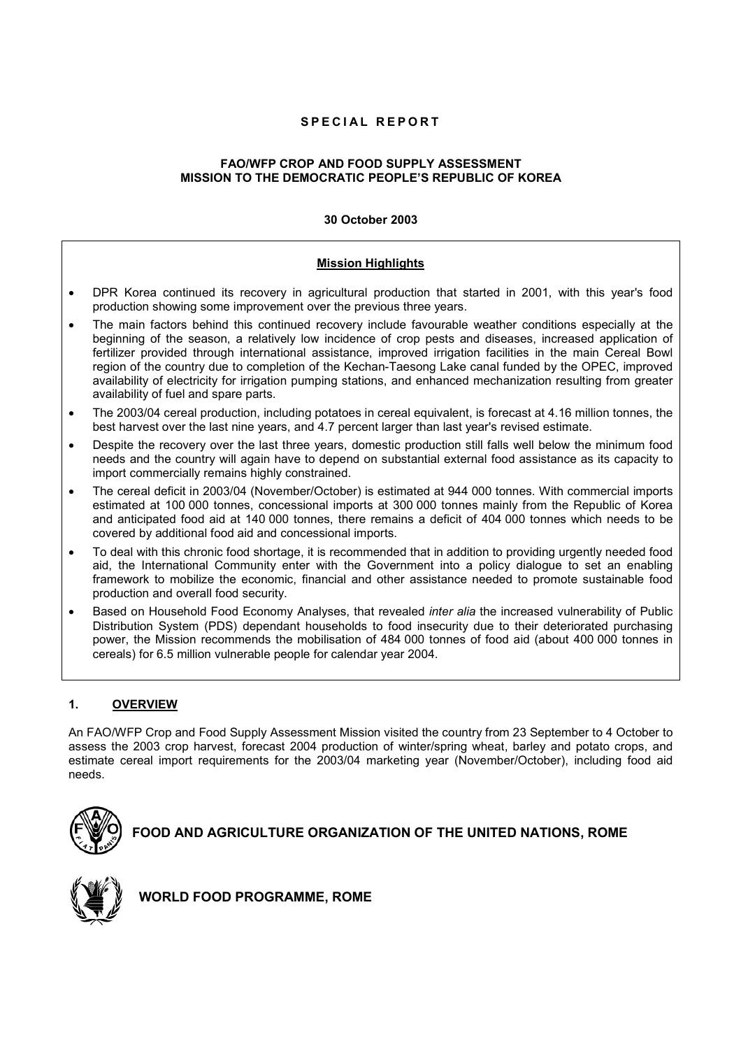# **SPECIAL REPORT**

# **FAO/WFP CROP AND FOOD SUPPLY ASSESSMENT MISSION TO THE DEMOCRATIC PEOPLE'S REPUBLIC OF KOREA**

# **30 October 2003**

# **Mission Highlights**

- DPR Korea continued its recovery in agricultural production that started in 2001, with this year's food production showing some improvement over the previous three years.
- The main factors behind this continued recovery include favourable weather conditions especially at the beginning of the season, a relatively low incidence of crop pests and diseases, increased application of fertilizer provided through international assistance, improved irrigation facilities in the main Cereal Bowl region of the country due to completion of the Kechan-Taesong Lake canal funded by the OPEC, improved availability of electricity for irrigation pumping stations, and enhanced mechanization resulting from greater availability of fuel and spare parts.
- The 2003/04 cereal production, including potatoes in cereal equivalent, is forecast at 4.16 million tonnes, the best harvest over the last nine years, and 4.7 percent larger than last year's revised estimate.
- Despite the recovery over the last three years, domestic production still falls well below the minimum food needs and the country will again have to depend on substantial external food assistance as its capacity to import commercially remains highly constrained.
- The cereal deficit in 2003/04 (November/October) is estimated at 944 000 tonnes. With commercial imports estimated at 100 000 tonnes, concessional imports at 300 000 tonnes mainly from the Republic of Korea and anticipated food aid at 140 000 tonnes, there remains a deficit of 404 000 tonnes which needs to be covered by additional food aid and concessional imports.
- To deal with this chronic food shortage, it is recommended that in addition to providing urgently needed food aid, the International Community enter with the Government into a policy dialogue to set an enabling framework to mobilize the economic, financial and other assistance needed to promote sustainable food production and overall food security.
- Based on Household Food Economy Analyses, that revealed *inter alia* the increased vulnerability of Public Distribution System (PDS) dependant households to food insecurity due to their deteriorated purchasing power, the Mission recommends the mobilisation of 484 000 tonnes of food aid (about 400 000 tonnes in cereals) for 6.5 million vulnerable people for calendar year 2004.

# **1. OVERVIEW**

An FAO/WFP Crop and Food Supply Assessment Mission visited the country from 23 September to 4 October to assess the 2003 crop harvest, forecast 2004 production of winter/spring wheat, barley and potato crops, and estimate cereal import requirements for the 2003/04 marketing year (November/October), including food aid needs.



**FOOD AND AGRICULTURE ORGANIZATION OF THE UNITED NATIONS, ROME** 



 **WORLD FOOD PROGRAMME, ROME**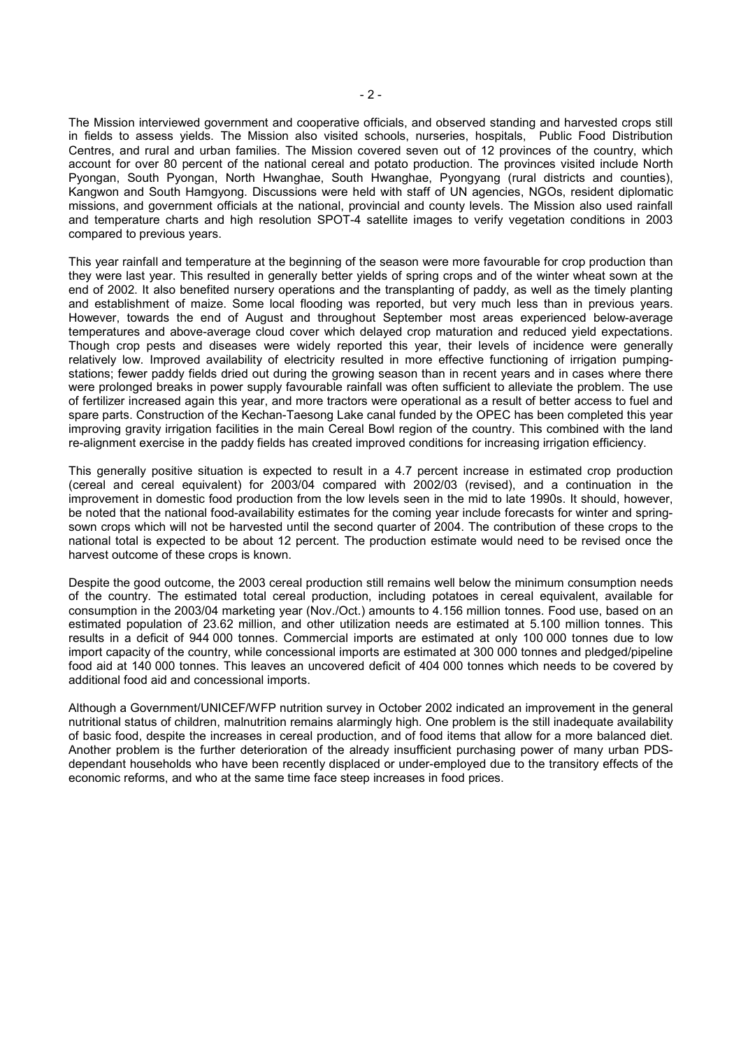The Mission interviewed government and cooperative officials, and observed standing and harvested crops still in fields to assess yields. The Mission also visited schools, nurseries, hospitals, Public Food Distribution Centres, and rural and urban families. The Mission covered seven out of 12 provinces of the country, which account for over 80 percent of the national cereal and potato production. The provinces visited include North Pyongan, South Pyongan, North Hwanghae, South Hwanghae, Pyongyang (rural districts and counties), Kangwon and South Hamgyong. Discussions were held with staff of UN agencies, NGOs, resident diplomatic missions, and government officials at the national, provincial and county levels. The Mission also used rainfall and temperature charts and high resolution SPOT-4 satellite images to verify vegetation conditions in 2003 compared to previous years.

This year rainfall and temperature at the beginning of the season were more favourable for crop production than they were last year. This resulted in generally better yields of spring crops and of the winter wheat sown at the end of 2002. It also benefited nursery operations and the transplanting of paddy, as well as the timely planting and establishment of maize. Some local flooding was reported, but very much less than in previous years. However, towards the end of August and throughout September most areas experienced below-average temperatures and above-average cloud cover which delayed crop maturation and reduced yield expectations. Though crop pests and diseases were widely reported this year, their levels of incidence were generally relatively low. Improved availability of electricity resulted in more effective functioning of irrigation pumpingstations; fewer paddy fields dried out during the growing season than in recent years and in cases where there were prolonged breaks in power supply favourable rainfall was often sufficient to alleviate the problem. The use of fertilizer increased again this year, and more tractors were operational as a result of better access to fuel and spare parts. Construction of the Kechan-Taesong Lake canal funded by the OPEC has been completed this year improving gravity irrigation facilities in the main Cereal Bowl region of the country. This combined with the land re-alignment exercise in the paddy fields has created improved conditions for increasing irrigation efficiency.

This generally positive situation is expected to result in a 4.7 percent increase in estimated crop production (cereal and cereal equivalent) for 2003/04 compared with 2002/03 (revised), and a continuation in the improvement in domestic food production from the low levels seen in the mid to late 1990s. It should, however, be noted that the national food-availability estimates for the coming year include forecasts for winter and springsown crops which will not be harvested until the second quarter of 2004. The contribution of these crops to the national total is expected to be about 12 percent. The production estimate would need to be revised once the harvest outcome of these crops is known.

Despite the good outcome, the 2003 cereal production still remains well below the minimum consumption needs of the country. The estimated total cereal production, including potatoes in cereal equivalent, available for consumption in the 2003/04 marketing year (Nov./Oct.) amounts to 4.156 million tonnes. Food use, based on an estimated population of 23.62 million, and other utilization needs are estimated at 5.100 million tonnes. This results in a deficit of 944 000 tonnes. Commercial imports are estimated at only 100 000 tonnes due to low import capacity of the country, while concessional imports are estimated at 300 000 tonnes and pledged/pipeline food aid at 140 000 tonnes. This leaves an uncovered deficit of 404 000 tonnes which needs to be covered by additional food aid and concessional imports.

Although a Government/UNICEF/WFP nutrition survey in October 2002 indicated an improvement in the general nutritional status of children, malnutrition remains alarmingly high. One problem is the still inadequate availability of basic food, despite the increases in cereal production, and of food items that allow for a more balanced diet. Another problem is the further deterioration of the already insufficient purchasing power of many urban PDSdependant households who have been recently displaced or under-employed due to the transitory effects of the economic reforms, and who at the same time face steep increases in food prices.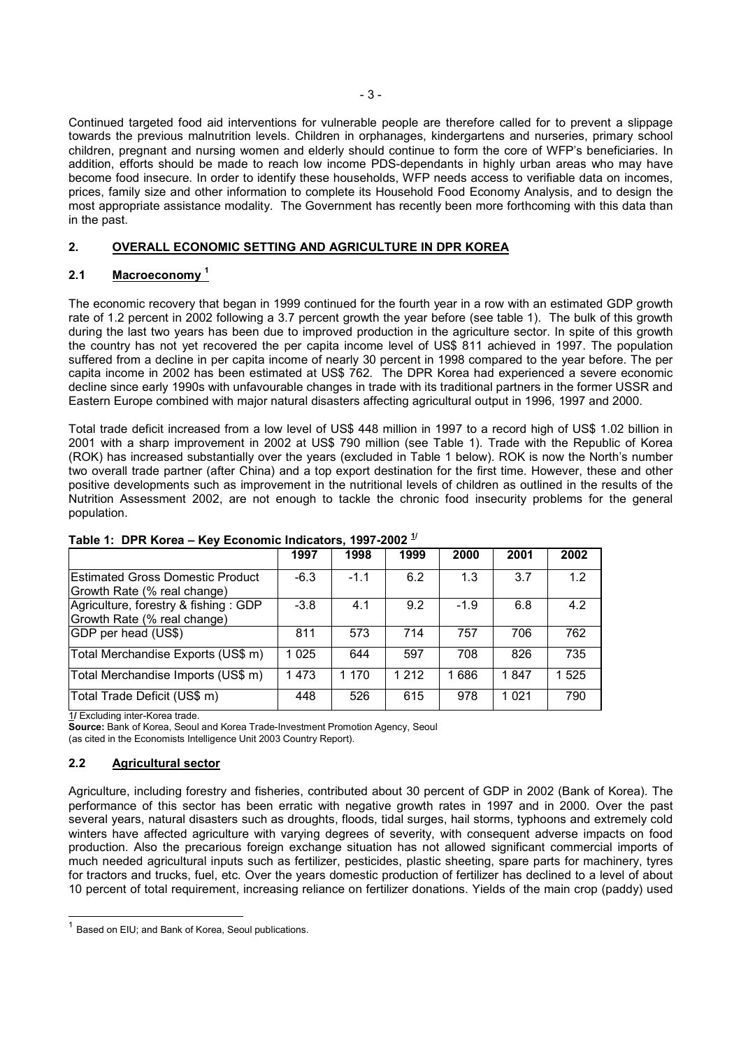Continued targeted food aid interventions for vulnerable people are therefore called for to prevent a slippage towards the previous malnutrition levels. Children in orphanages, kindergartens and nurseries, primary school children, pregnant and nursing women and elderly should continue to form the core of WFP's beneficiaries. In addition, efforts should be made to reach low income PDS-dependants in highly urban areas who may have become food insecure. In order to identify these households, WFP needs access to verifiable data on incomes, prices, family size and other information to complete its Household Food Economy Analysis, and to design the most appropriate assistance modality. The Government has recently been more forthcoming with this data than in the past.

# **2. OVERALL ECONOMIC SETTING AND AGRICULTURE IN DPR KOREA**

# **2.1 Macroeconomy <sup>1</sup>**

The economic recovery that began in 1999 continued for the fourth year in a row with an estimated GDP growth rate of 1.2 percent in 2002 following a 3.7 percent growth the year before (see table 1). The bulk of this growth during the last two years has been due to improved production in the agriculture sector. In spite of this growth the country has not yet recovered the per capita income level of US\$ 811 achieved in 1997. The population suffered from a decline in per capita income of nearly 30 percent in 1998 compared to the year before. The per capita income in 2002 has been estimated at US\$ 762. The DPR Korea had experienced a severe economic decline since early 1990s with unfavourable changes in trade with its traditional partners in the former USSR and Eastern Europe combined with major natural disasters affecting agricultural output in 1996, 1997 and 2000.

Total trade deficit increased from a low level of US\$ 448 million in 1997 to a record high of US\$ 1.02 billion in 2001 with a sharp improvement in 2002 at US\$ 790 million (see Table 1). Trade with the Republic of Korea (ROK) has increased substantially over the years (excluded in Table 1 below). ROK is now the North's number two overall trade partner (after China) and a top export destination for the first time. However, these and other positive developments such as improvement in the nutritional levels of children as outlined in the results of the Nutrition Assessment 2002, are not enough to tackle the chronic food insecurity problems for the general population.

|                                                                        | 1997    | 1998   | 1999    | 2000   | 2001    | 2002  |
|------------------------------------------------------------------------|---------|--------|---------|--------|---------|-------|
| <b>Estimated Gross Domestic Product</b><br>Growth Rate (% real change) | $-6.3$  | $-1.1$ | 6.2     | 1.3    | 3.7     | 1.2   |
| Agriculture, forestry & fishing: GDP<br>Growth Rate (% real change)    | $-3.8$  | 4.1    | 9.2     | $-1.9$ | 6.8     | 4.2   |
| GDP per head (US\$)                                                    | 811     | 573    | 714     | 757    | 706     | 762   |
| Total Merchandise Exports (US\$ m)                                     | 1 0 2 5 | 644    | 597     | 708    | 826     | 735   |
| Total Merchandise Imports (US\$ m)                                     | 1473    | 1 170  | 1 2 1 2 | 1 686  | 1847    | 1 525 |
| Total Trade Deficit (US\$ m)                                           | 448     | 526    | 615     | 978    | 1 0 2 1 | 790   |

# **Table 1: DPR Korea – Key Economic Indicators, 1997-2002 1/**

1**/** Excluding inter-Korea trade.

**Source:** Bank of Korea, Seoul and Korea Trade-Investment Promotion Agency, Seoul (as cited in the Economists Intelligence Unit 2003 Country Report).

# **2.2 Agricultural sector**

-

Agriculture, including forestry and fisheries, contributed about 30 percent of GDP in 2002 (Bank of Korea). The performance of this sector has been erratic with negative growth rates in 1997 and in 2000. Over the past several years, natural disasters such as droughts, floods, tidal surges, hail storms, typhoons and extremely cold winters have affected agriculture with varying degrees of severity, with consequent adverse impacts on food production. Also the precarious foreign exchange situation has not allowed significant commercial imports of much needed agricultural inputs such as fertilizer, pesticides, plastic sheeting, spare parts for machinery, tyres for tractors and trucks, fuel, etc. Over the years domestic production of fertilizer has declined to a level of about 10 percent of total requirement, increasing reliance on fertilizer donations. Yields of the main crop (paddy) used

 $1$  Based on EIU; and Bank of Korea, Seoul publications.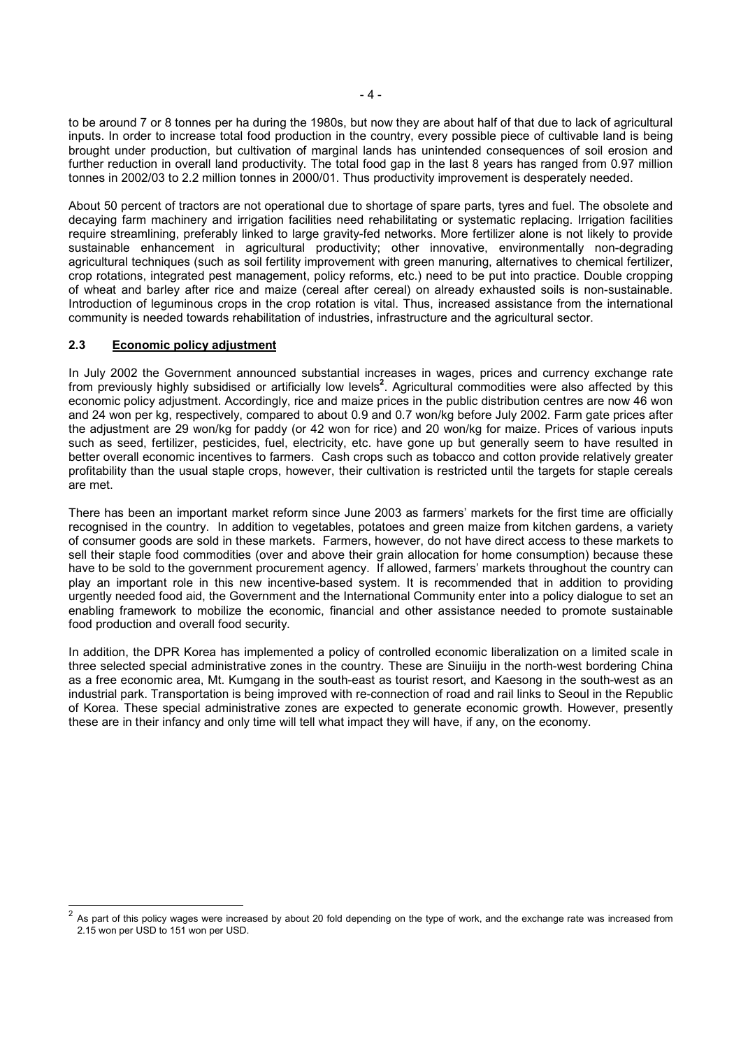to be around 7 or 8 tonnes per ha during the 1980s, but now they are about half of that due to lack of agricultural inputs. In order to increase total food production in the country, every possible piece of cultivable land is being brought under production, but cultivation of marginal lands has unintended consequences of soil erosion and further reduction in overall land productivity. The total food gap in the last 8 years has ranged from 0.97 million tonnes in 2002/03 to 2.2 million tonnes in 2000/01. Thus productivity improvement is desperately needed.

About 50 percent of tractors are not operational due to shortage of spare parts, tyres and fuel. The obsolete and decaying farm machinery and irrigation facilities need rehabilitating or systematic replacing. Irrigation facilities require streamlining, preferably linked to large gravity-fed networks. More fertilizer alone is not likely to provide sustainable enhancement in agricultural productivity; other innovative, environmentally non-degrading agricultural techniques (such as soil fertility improvement with green manuring, alternatives to chemical fertilizer, crop rotations, integrated pest management, policy reforms, etc.) need to be put into practice. Double cropping of wheat and barley after rice and maize (cereal after cereal) on already exhausted soils is non-sustainable. Introduction of leguminous crops in the crop rotation is vital. Thus, increased assistance from the international community is needed towards rehabilitation of industries, infrastructure and the agricultural sector.

# **2.3 Economic policy adjustment**

-

In July 2002 the Government announced substantial increases in wages, prices and currency exchange rate from previously highly subsidised or artificially low levels<sup>2</sup>. Agricultural commodities were also affected by this economic policy adjustment. Accordingly, rice and maize prices in the public distribution centres are now 46 won and 24 won per kg, respectively, compared to about 0.9 and 0.7 won/kg before July 2002. Farm gate prices after the adjustment are 29 won/kg for paddy (or 42 won for rice) and 20 won/kg for maize. Prices of various inputs such as seed, fertilizer, pesticides, fuel, electricity, etc. have gone up but generally seem to have resulted in better overall economic incentives to farmers. Cash crops such as tobacco and cotton provide relatively greater profitability than the usual staple crops, however, their cultivation is restricted until the targets for staple cereals are met.

There has been an important market reform since June 2003 as farmers' markets for the first time are officially recognised in the country. In addition to vegetables, potatoes and green maize from kitchen gardens, a variety of consumer goods are sold in these markets. Farmers, however, do not have direct access to these markets to sell their staple food commodities (over and above their grain allocation for home consumption) because these have to be sold to the government procurement agency. If allowed, farmers' markets throughout the country can play an important role in this new incentive-based system. It is recommended that in addition to providing urgently needed food aid, the Government and the International Community enter into a policy dialogue to set an enabling framework to mobilize the economic, financial and other assistance needed to promote sustainable food production and overall food security.

In addition, the DPR Korea has implemented a policy of controlled economic liberalization on a limited scale in three selected special administrative zones in the country. These are Sinuiiju in the north-west bordering China as a free economic area, Mt. Kumgang in the south-east as tourist resort, and Kaesong in the south-west as an industrial park. Transportation is being improved with re-connection of road and rail links to Seoul in the Republic of Korea. These special administrative zones are expected to generate economic growth. However, presently these are in their infancy and only time will tell what impact they will have, if any, on the economy.

As part of this policy wages were increased by about 20 fold depending on the type of work, and the exchange rate was increased from 2.15 won per USD to 151 won per USD.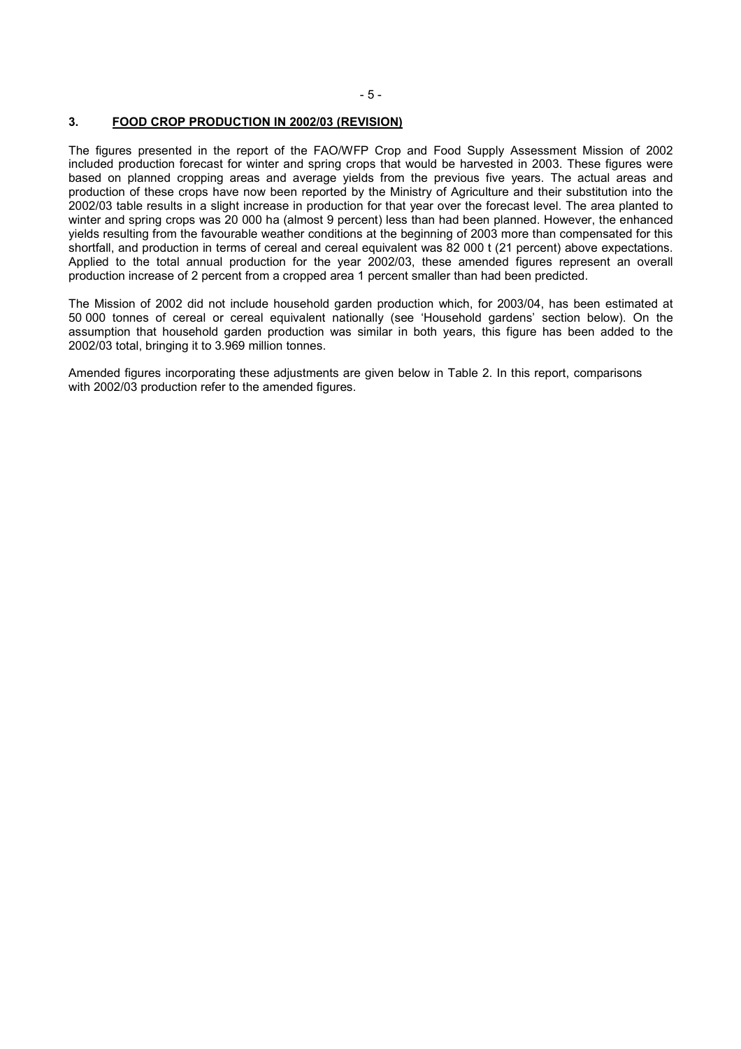#### **3. FOOD CROP PRODUCTION IN 2002/03 (REVISION)**

The figures presented in the report of the FAO/WFP Crop and Food Supply Assessment Mission of 2002 included production forecast for winter and spring crops that would be harvested in 2003. These figures were based on planned cropping areas and average yields from the previous five years. The actual areas and production of these crops have now been reported by the Ministry of Agriculture and their substitution into the 2002/03 table results in a slight increase in production for that year over the forecast level. The area planted to winter and spring crops was 20 000 ha (almost 9 percent) less than had been planned. However, the enhanced yields resulting from the favourable weather conditions at the beginning of 2003 more than compensated for this shortfall, and production in terms of cereal and cereal equivalent was 82 000 t (21 percent) above expectations. Applied to the total annual production for the year 2002/03, these amended figures represent an overall production increase of 2 percent from a cropped area 1 percent smaller than had been predicted.

The Mission of 2002 did not include household garden production which, for 2003/04, has been estimated at 50 000 tonnes of cereal or cereal equivalent nationally (see 'Household gardens' section below). On the assumption that household garden production was similar in both years, this figure has been added to the 2002/03 total, bringing it to 3.969 million tonnes.

Amended figures incorporating these adjustments are given below in Table 2. In this report, comparisons with 2002/03 production refer to the amended figures.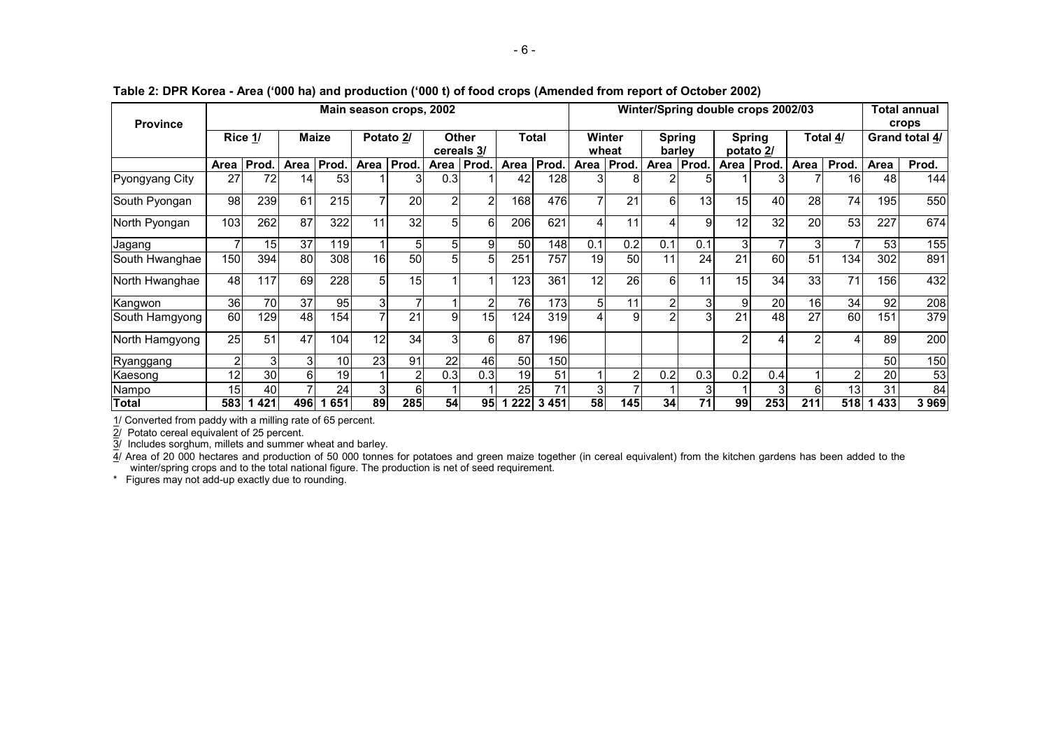| <b>Province</b> |      |         |      |       |      | Main season crops, 2002  |            |                  |      |         |      |                 |     |                         |                | Winter/Spring double crops 2002/03 |              |                 | Total annual<br>crops |                |
|-----------------|------|---------|------|-------|------|--------------------------|------------|------------------|------|---------|------|-----------------|-----|-------------------------|----------------|------------------------------------|--------------|-----------------|-----------------------|----------------|
|                 |      | Rice 1/ |      | Maize |      | Potato 2/                | cereals 3/ | Other            |      | Total   |      | Winter<br>wheat |     | <b>Spring</b><br>barlev | potato 2/      | <b>Spring</b>                      |              | Total 4/        |                       | Grand total 4/ |
|                 | Area | Prod.   | Area | Prod. | Area | Prod.                    | Area       | Prod.            | Area | Prod.   | Area | Prod.           |     | Area   Prod.            | Area I         | Prod.                              | Area         | Prod.           | Area                  | Prod.          |
| Pyongyang City  | 27   | 72      | 14   | 53    |      |                          | 0.3        |                  | 42   | 128     |      |                 |     |                         |                |                                    |              | 16 <sub>1</sub> | 48                    | 144            |
| South Pyongan   | 98   | 239     | 61   | 215   | 7    | 20                       | 2          | 2                | 168  | 476     | 7    | 21              | 6   | 13                      | 15             | 40                                 | 28           | 74              | 195                   | 550            |
| North Pyongan   | 103  | 262     | 87   | 322   | 11   | 32                       | 5          | 6                | 206  | 621     | 4    | 11              | 4   | 9                       | 12             | 32                                 | 20           | 53              | 227                   | 674            |
| Jagang          |      | 15      | 37   | 119   |      | 5                        | 5          | 9                | 50   | 148     | 0.1  | 0.2             | 0.1 | 0.1                     | 3 <sub>l</sub> | $\overline{ }$                     | $\mathbf{3}$ | ⇁               | 53                    | 155            |
| South Hwanghae  | 150  | 394     | 80   | 308   | 16   | 50                       | 5          | 5                | 251  | 757     | 19   | 50              | 11  | 24                      | 21             | 60                                 | 51           | 134             | 302                   | 891            |
| North Hwanghae  | 48   | 117     | 69   | 228   | 5    | 15                       |            |                  | 123  | 361     | 12   | 26              | 6   | 11                      | 15             | 34                                 | 33           | 71              | 156                   | 432            |
| Kangwon         | 36   | 70      | 37   | 95    | 3    | $\overline{\phantom{0}}$ |            | $\overline{2}$   | 76   | 173     | 5    | 11              | 2   | 3                       | 9              | 20                                 | 16           | 34              | 92                    | 208            |
| South Hamgyong  | 60   | 129     | 48   | 154   | 7    | 21                       | 9          | 15               | 124  | 319     |      | 9               | 2   | 3                       | 21             | 48                                 | 27           | 60              | 151                   | 379            |
| North Hamgyong  | 25   | 51      | 47   | 104   | 12   | 34                       | 3          | 6                | 87   | 196     |      |                 |     |                         | າ              |                                    |              |                 | 89                    | 200            |
| Ryanggang       |      | 3       | 31   | 10    | 23   | 91                       | 22         | 46               | 50   | 150     |      |                 |     |                         |                |                                    |              |                 | 50                    | 150            |
| Kaesong         | 12   | 30      | 6    | 19    |      | 2                        | 0.3        | 0.3 <sub>l</sub> | 19   | 51      |      | 2               | 0.2 | 0.3                     | 0.2            | 0.4                                |              | $\mathbf{2}$    | 20                    | 53             |
| Nampo           | 15   | 40      |      | 24    | 3    |                          |            |                  | 25   | 71      | 3    |                 |     |                         |                |                                    | 6            | 13              | 31                    | 84             |
| <b>Total</b>    | 583  | 421     | 496  | 651   | 89   | 285                      | 54         | 95               | 222  | 3 4 5 1 | 58   | 145             | 34  | 71                      | 99             | 253                                | 211          | 518             | 433                   | 3969           |

**Table 2: DPR Korea - Area ('000 ha) and production ('000 t) of food crops (Amended from report of October 2002)** 

1/ Converted from paddy with a milling rate of 65 percent.

2/ Potato cereal equivalent of 25 percent.

3/ Includes sorghum, millets and summer wheat and barley.

4/ Area of 20 000 hectares and production of 50 000 tonnes for potatoes and green maize together (in cereal equivalent) from the kitchen gardens has been added to the winter/spring crops and to the total national figure. The production is net of seed requirement.

\* Figures may not add-up exactly due to rounding.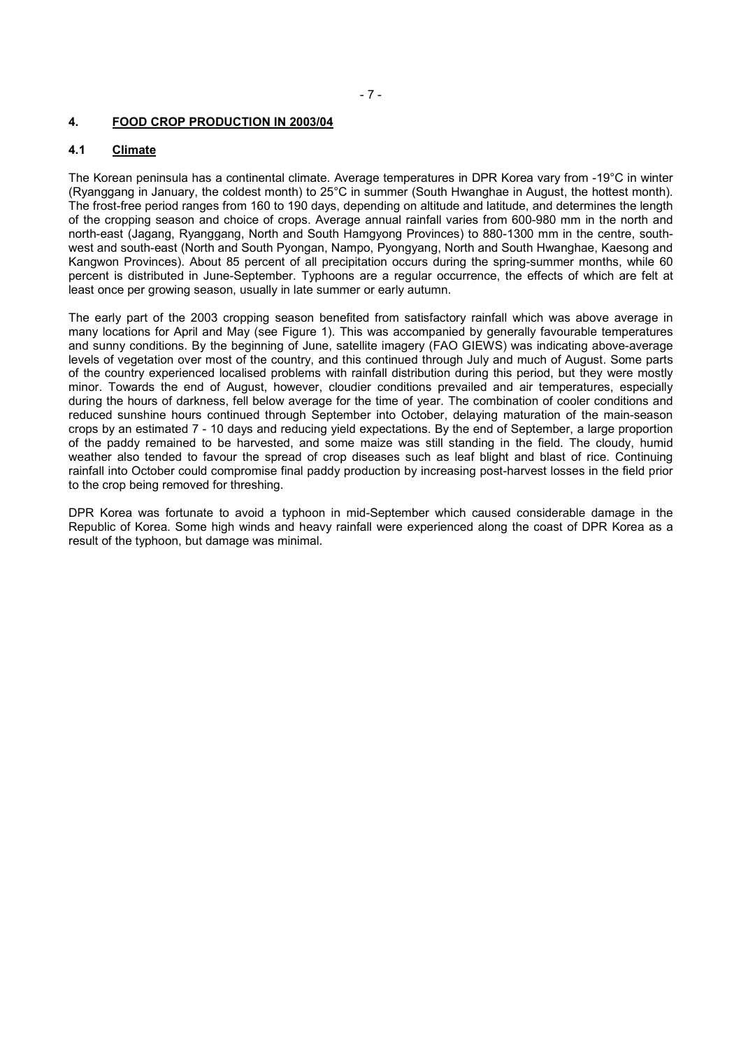### **4. FOOD CROP PRODUCTION IN 2003/04**

# **4.1 Climate**

The Korean peninsula has a continental climate. Average temperatures in DPR Korea vary from -19°C in winter (Ryanggang in January, the coldest month) to 25°C in summer (South Hwanghae in August, the hottest month). The frost-free period ranges from 160 to 190 days, depending on altitude and latitude, and determines the length of the cropping season and choice of crops. Average annual rainfall varies from 600-980 mm in the north and north-east (Jagang, Ryanggang, North and South Hamgyong Provinces) to 880-1300 mm in the centre, southwest and south-east (North and South Pyongan, Nampo, Pyongyang, North and South Hwanghae, Kaesong and Kangwon Provinces). About 85 percent of all precipitation occurs during the spring-summer months, while 60 percent is distributed in June-September. Typhoons are a regular occurrence, the effects of which are felt at least once per growing season, usually in late summer or early autumn.

The early part of the 2003 cropping season benefited from satisfactory rainfall which was above average in many locations for April and May (see Figure 1). This was accompanied by generally favourable temperatures and sunny conditions. By the beginning of June, satellite imagery (FAO GIEWS) was indicating above-average levels of vegetation over most of the country, and this continued through July and much of August. Some parts of the country experienced localised problems with rainfall distribution during this period, but they were mostly minor. Towards the end of August, however, cloudier conditions prevailed and air temperatures, especially during the hours of darkness, fell below average for the time of year. The combination of cooler conditions and reduced sunshine hours continued through September into October, delaying maturation of the main-season crops by an estimated 7 - 10 days and reducing yield expectations. By the end of September, a large proportion of the paddy remained to be harvested, and some maize was still standing in the field. The cloudy, humid weather also tended to favour the spread of crop diseases such as leaf blight and blast of rice. Continuing rainfall into October could compromise final paddy production by increasing post-harvest losses in the field prior to the crop being removed for threshing.

DPR Korea was fortunate to avoid a typhoon in mid-September which caused considerable damage in the Republic of Korea. Some high winds and heavy rainfall were experienced along the coast of DPR Korea as a result of the typhoon, but damage was minimal.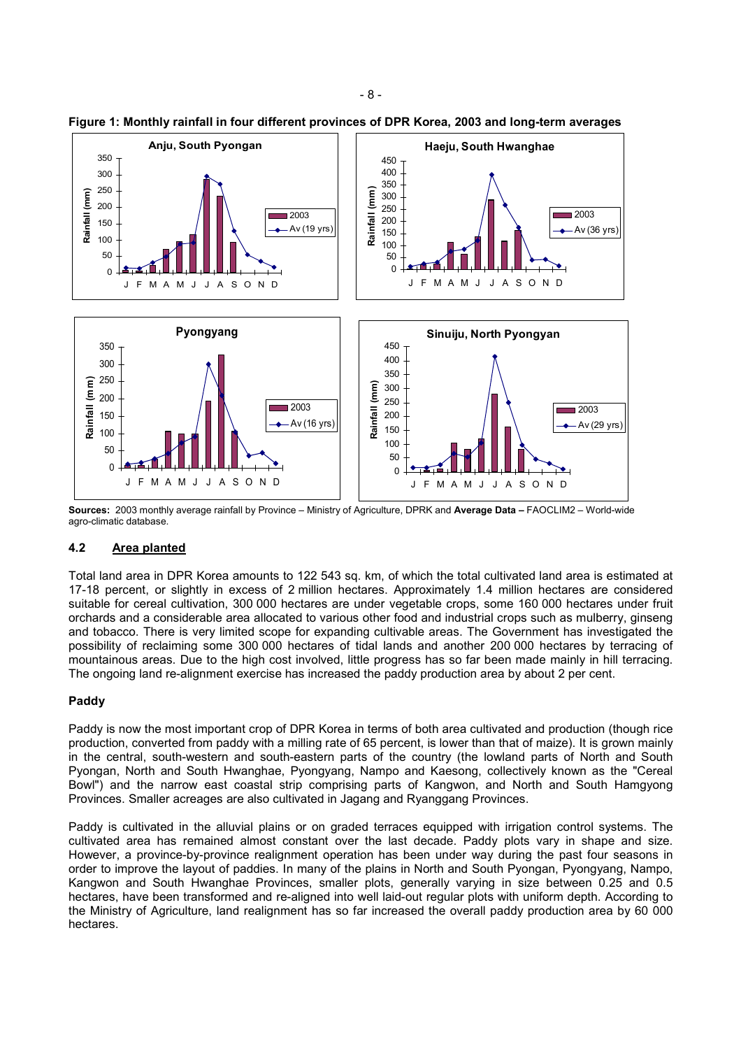

**Figure 1: Monthly rainfall in four different provinces of DPR Korea, 2003 and long-term averages** 

**Sources:** 2003 monthly average rainfall by Province – Ministry of Agriculture, DPRK and **Average Data –** FAOCLIM2 – World-wide agro-climatic database.

# **4.2 Area planted**

Total land area in DPR Korea amounts to 122 543 sq. km, of which the total cultivated land area is estimated at 17-18 percent, or slightly in excess of 2 million hectares. Approximately 1.4 million hectares are considered suitable for cereal cultivation, 300 000 hectares are under vegetable crops, some 160 000 hectares under fruit orchards and a considerable area allocated to various other food and industrial crops such as mulberry, ginseng and tobacco. There is very limited scope for expanding cultivable areas. The Government has investigated the possibility of reclaiming some 300 000 hectares of tidal lands and another 200 000 hectares by terracing of mountainous areas. Due to the high cost involved, little progress has so far been made mainly in hill terracing. The ongoing land re-alignment exercise has increased the paddy production area by about 2 per cent.

# **Paddy**

Paddy is now the most important crop of DPR Korea in terms of both area cultivated and production (though rice production, converted from paddy with a milling rate of 65 percent, is lower than that of maize). It is grown mainly in the central, south-western and south-eastern parts of the country (the lowland parts of North and South Pyongan, North and South Hwanghae, Pyongyang, Nampo and Kaesong, collectively known as the "Cereal Bowl") and the narrow east coastal strip comprising parts of Kangwon, and North and South Hamgyong Provinces. Smaller acreages are also cultivated in Jagang and Ryanggang Provinces.

Paddy is cultivated in the alluvial plains or on graded terraces equipped with irrigation control systems. The cultivated area has remained almost constant over the last decade. Paddy plots vary in shape and size. However, a province-by-province realignment operation has been under way during the past four seasons in order to improve the layout of paddies. In many of the plains in North and South Pyongan, Pyongyang, Nampo, Kangwon and South Hwanghae Provinces, smaller plots, generally varying in size between 0.25 and 0.5 hectares, have been transformed and re-aligned into well laid-out regular plots with uniform depth. According to the Ministry of Agriculture, land realignment has so far increased the overall paddy production area by 60 000 hectares.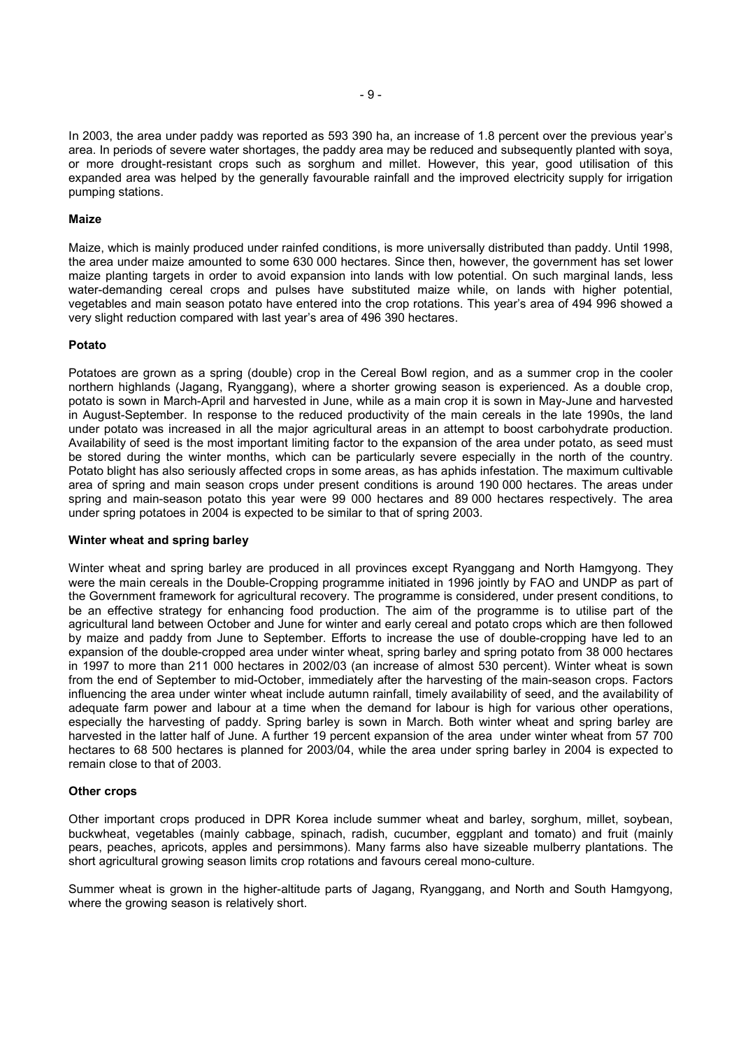In 2003, the area under paddy was reported as 593 390 ha, an increase of 1.8 percent over the previous year's area. In periods of severe water shortages, the paddy area may be reduced and subsequently planted with soya, or more drought-resistant crops such as sorghum and millet. However, this year, good utilisation of this expanded area was helped by the generally favourable rainfall and the improved electricity supply for irrigation pumping stations.

#### **Maize**

Maize, which is mainly produced under rainfed conditions, is more universally distributed than paddy. Until 1998, the area under maize amounted to some 630 000 hectares. Since then, however, the government has set lower maize planting targets in order to avoid expansion into lands with low potential. On such marginal lands, less water-demanding cereal crops and pulses have substituted maize while, on lands with higher potential, vegetables and main season potato have entered into the crop rotations. This year's area of 494 996 showed a very slight reduction compared with last year's area of 496 390 hectares.

#### **Potato**

Potatoes are grown as a spring (double) crop in the Cereal Bowl region, and as a summer crop in the cooler northern highlands (Jagang, Ryanggang), where a shorter growing season is experienced. As a double crop, potato is sown in March-April and harvested in June, while as a main crop it is sown in May-June and harvested in August-September. In response to the reduced productivity of the main cereals in the late 1990s, the land under potato was increased in all the major agricultural areas in an attempt to boost carbohydrate production. Availability of seed is the most important limiting factor to the expansion of the area under potato, as seed must be stored during the winter months, which can be particularly severe especially in the north of the country. Potato blight has also seriously affected crops in some areas, as has aphids infestation. The maximum cultivable area of spring and main season crops under present conditions is around 190 000 hectares. The areas under spring and main-season potato this year were 99 000 hectares and 89 000 hectares respectively. The area under spring potatoes in 2004 is expected to be similar to that of spring 2003.

#### **Winter wheat and spring barley**

Winter wheat and spring barley are produced in all provinces except Ryanggang and North Hamgyong. They were the main cereals in the Double-Cropping programme initiated in 1996 jointly by FAO and UNDP as part of the Government framework for agricultural recovery. The programme is considered, under present conditions, to be an effective strategy for enhancing food production. The aim of the programme is to utilise part of the agricultural land between October and June for winter and early cereal and potato crops which are then followed by maize and paddy from June to September. Efforts to increase the use of double-cropping have led to an expansion of the double-cropped area under winter wheat, spring barley and spring potato from 38 000 hectares in 1997 to more than 211 000 hectares in 2002/03 (an increase of almost 530 percent). Winter wheat is sown from the end of September to mid-October, immediately after the harvesting of the main-season crops. Factors influencing the area under winter wheat include autumn rainfall, timely availability of seed, and the availability of adequate farm power and labour at a time when the demand for labour is high for various other operations, especially the harvesting of paddy. Spring barley is sown in March. Both winter wheat and spring barley are harvested in the latter half of June. A further 19 percent expansion of the area under winter wheat from 57 700 hectares to 68 500 hectares is planned for 2003/04, while the area under spring barley in 2004 is expected to remain close to that of 2003.

#### **Other crops**

Other important crops produced in DPR Korea include summer wheat and barley, sorghum, millet, soybean, buckwheat, vegetables (mainly cabbage, spinach, radish, cucumber, eggplant and tomato) and fruit (mainly pears, peaches, apricots, apples and persimmons). Many farms also have sizeable mulberry plantations. The short agricultural growing season limits crop rotations and favours cereal mono-culture.

Summer wheat is grown in the higher-altitude parts of Jagang, Ryanggang, and North and South Hamgyong, where the growing season is relatively short.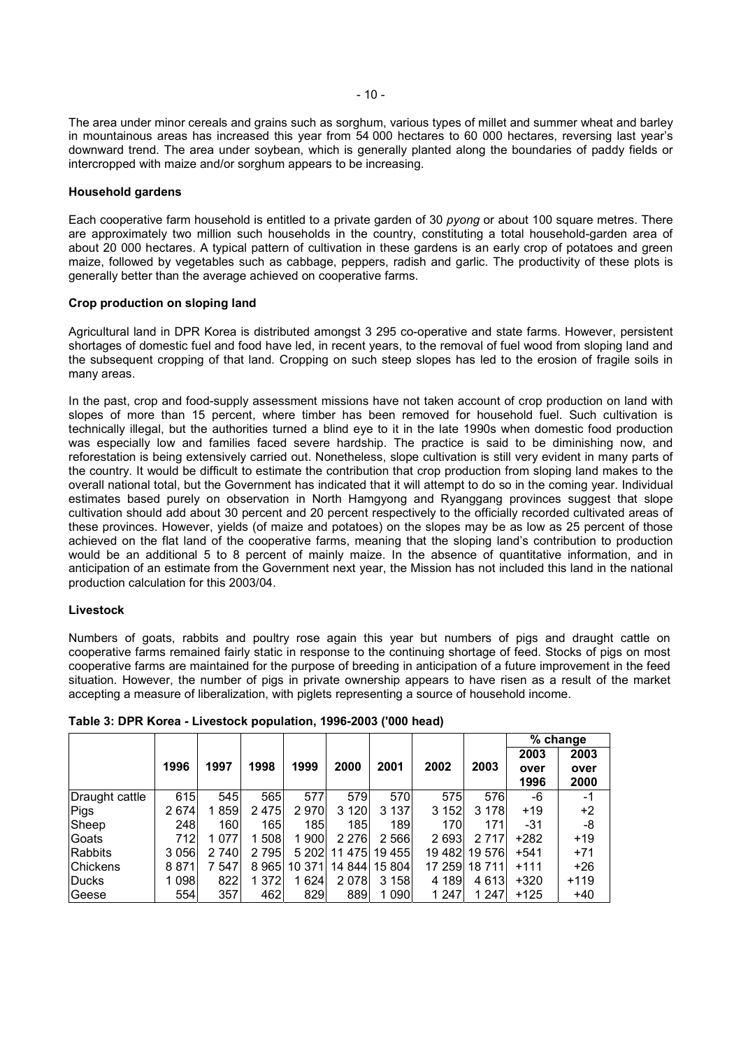The area under minor cereals and grains such as sorghum, various types of millet and summer wheat and barley in mountainous areas has increased this year from 54 000 hectares to 60 000 hectares, reversing last year's downward trend. The area under soybean, which is generally planted along the boundaries of paddy fields or intercropped with maize and/or sorghum appears to be increasing.

### **Household gardens**

Each cooperative farm household is entitled to a private garden of 30 *pyong* or about 100 square metres. There are approximately two million such households in the country, constituting a total household-garden area of about 20 000 hectares. A typical pattern of cultivation in these gardens is an early crop of potatoes and green maize, followed by vegetables such as cabbage, peppers, radish and garlic. The productivity of these plots is generally better than the average achieved on cooperative farms.

#### **Crop production on sloping land**

Agricultural land in DPR Korea is distributed amongst 3 295 co-operative and state farms. However, persistent shortages of domestic fuel and food have led, in recent years, to the removal of fuel wood from sloping land and the subsequent cropping of that land. Cropping on such steep slopes has led to the erosion of fragile soils in many areas.

In the past, crop and food-supply assessment missions have not taken account of crop production on land with slopes of more than 15 percent, where timber has been removed for household fuel. Such cultivation is technically illegal, but the authorities turned a blind eye to it in the late 1990s when domestic food production was especially low and families faced severe hardship. The practice is said to be diminishing now, and reforestation is being extensively carried out. Nonetheless, slope cultivation is still very evident in many parts of the country. It would be difficult to estimate the contribution that crop production from sloping land makes to the overall national total, but the Government has indicated that it will attempt to do so in the coming year. Individual estimates based purely on observation in North Hamgyong and Ryanggang provinces suggest that slope cultivation should add about 30 percent and 20 percent respectively to the officially recorded cultivated areas of these provinces. However, yields (of maize and potatoes) on the slopes may be as low as 25 percent of those achieved on the flat land of the cooperative farms, meaning that the sloping land's contribution to production would be an additional 5 to 8 percent of mainly maize. In the absence of quantitative information, and in anticipation of an estimate from the Government next year, the Mission has not included this land in the national production calculation for this 2003/04.

# **Livestock**

Numbers of goats, rabbits and poultry rose again this year but numbers of pigs and draught cattle on cooperative farms remained fairly static in response to the continuing shortage of feed. Stocks of pigs on most cooperative farms are maintained for the purpose of breeding in anticipation of a future improvement in the feed situation. However, the number of pigs in private ownership appears to have risen as a result of the market accepting a measure of liberalization, with piglets representing a source of household income.

|                 |         |         |         |         |         |               |         |         |        | $%$ change |
|-----------------|---------|---------|---------|---------|---------|---------------|---------|---------|--------|------------|
|                 |         |         |         |         |         |               |         |         | 2003   | 2003       |
|                 | 1996    | 1997    | 1998    | 1999    | 2000    | 2001          | 2002    | 2003    | over   | over       |
|                 |         |         |         |         |         |               |         |         | 1996   | 2000       |
| Draught cattle  | 615     | 545     | 565     | 577     | 579     | 570           | 575     | 576     | -6     | -1         |
| Pigs            | 2 674   | 1859    | 2475    | 2970    | 3 1 2 0 | 3 1 3 7       | 3 1 5 2 | 3 1 7 8 | $+19$  | $+2$       |
| Sheep           | 248     | 160     | 165     | 185     | 185     | 189           | 170     | 171     | $-31$  | -8         |
| Goats           | 712     | 1 0 7 7 | 1 508   | 1900    | 2 2 7 6 | 2 5 6 6       | 2693    | 2 7 1 7 | $+282$ | $+19$      |
| Rabbits         | 3 0 5 6 | 2 740   | 2 7 9 5 | 5 202   |         | 11 475 19 455 | 19 482l | 19 576  | $+541$ | $+71$      |
| <b>Chickens</b> | 8871    | 7 547   | 8965    | 10 371  |         | 14 844 15 804 | 17 259  | 18 711  | $+111$ | $+26$      |
| Ducks           | 1 098   | 822     | 1 372   | 1 6 2 4 | 2078    | 3 1 5 8       | 4 189   | 4 6 1 3 | $+320$ | $+119$     |
| <b>Geese</b>    | 554     | 357     | 462     | 829     | 889     | 1 090         | 1 247   | 1 247   | +125   | $+40$      |

**Table 3: DPR Korea - Livestock population, 1996-2003 ('000 head)**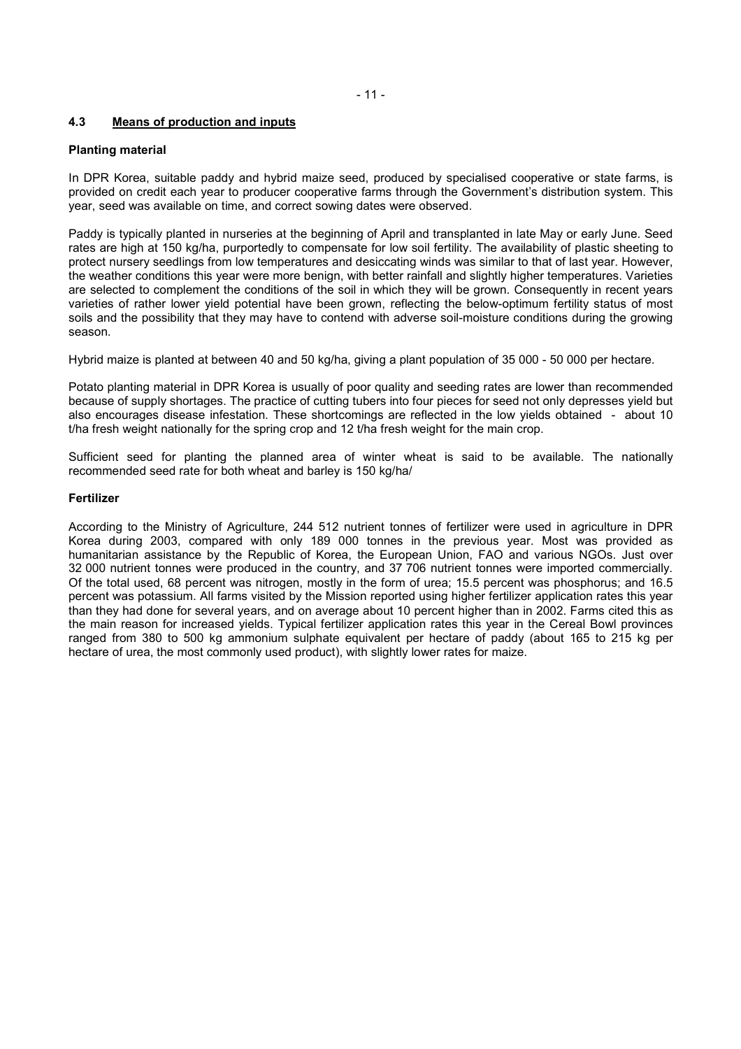### **4.3 Means of production and inputs**

#### **Planting material**

In DPR Korea, suitable paddy and hybrid maize seed, produced by specialised cooperative or state farms, is provided on credit each year to producer cooperative farms through the Government's distribution system. This year, seed was available on time, and correct sowing dates were observed.

Paddy is typically planted in nurseries at the beginning of April and transplanted in late May or early June. Seed rates are high at 150 kg/ha, purportedly to compensate for low soil fertility. The availability of plastic sheeting to protect nursery seedlings from low temperatures and desiccating winds was similar to that of last year. However, the weather conditions this year were more benign, with better rainfall and slightly higher temperatures. Varieties are selected to complement the conditions of the soil in which they will be grown. Consequently in recent years varieties of rather lower yield potential have been grown, reflecting the below-optimum fertility status of most soils and the possibility that they may have to contend with adverse soil-moisture conditions during the growing season.

Hybrid maize is planted at between 40 and 50 kg/ha, giving a plant population of 35 000 - 50 000 per hectare.

Potato planting material in DPR Korea is usually of poor quality and seeding rates are lower than recommended because of supply shortages. The practice of cutting tubers into four pieces for seed not only depresses yield but also encourages disease infestation. These shortcomings are reflected in the low yields obtained - about 10 t/ha fresh weight nationally for the spring crop and 12 t/ha fresh weight for the main crop.

Sufficient seed for planting the planned area of winter wheat is said to be available. The nationally recommended seed rate for both wheat and barley is 150 kg/ha/

# **Fertilizer**

According to the Ministry of Agriculture, 244 512 nutrient tonnes of fertilizer were used in agriculture in DPR Korea during 2003, compared with only 189 000 tonnes in the previous year. Most was provided as humanitarian assistance by the Republic of Korea, the European Union, FAO and various NGOs. Just over 32 000 nutrient tonnes were produced in the country, and 37 706 nutrient tonnes were imported commercially. Of the total used, 68 percent was nitrogen, mostly in the form of urea; 15.5 percent was phosphorus; and 16.5 percent was potassium. All farms visited by the Mission reported using higher fertilizer application rates this year than they had done for several years, and on average about 10 percent higher than in 2002. Farms cited this as the main reason for increased yields. Typical fertilizer application rates this year in the Cereal Bowl provinces ranged from 380 to 500 kg ammonium sulphate equivalent per hectare of paddy (about 165 to 215 kg per hectare of urea, the most commonly used product), with slightly lower rates for maize.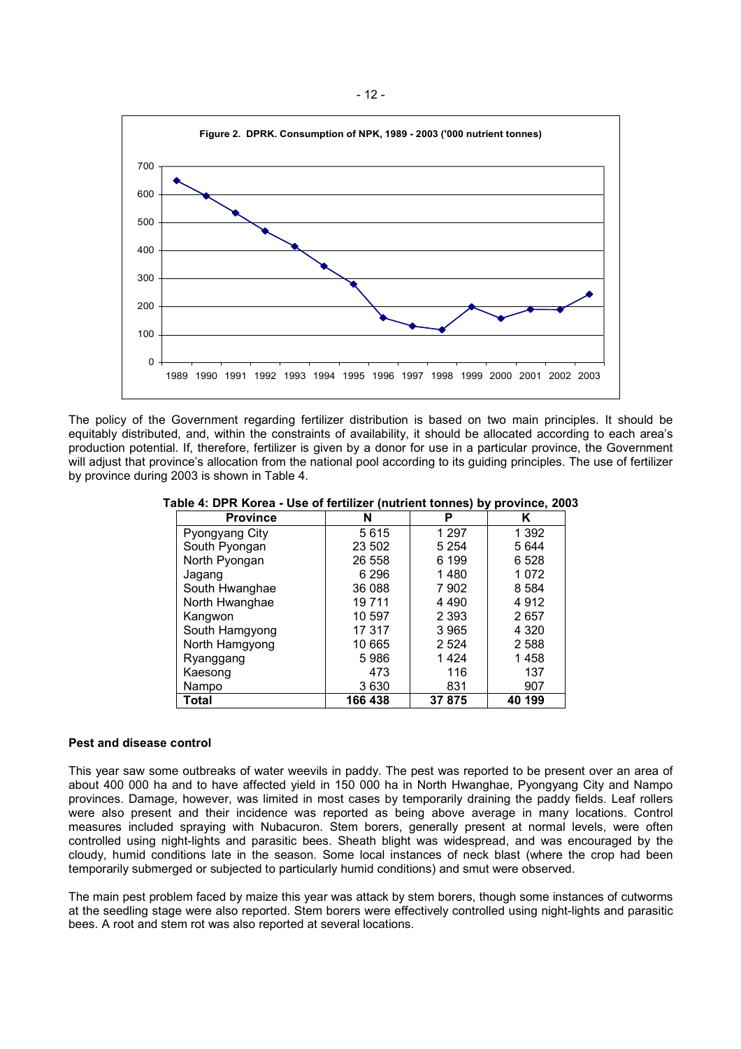

The policy of the Government regarding fertilizer distribution is based on two main principles. It should be equitably distributed, and, within the constraints of availability, it should be allocated according to each area's production potential. If, therefore, fertilizer is given by a donor for use in a particular province, the Government will adjust that province's allocation from the national pool according to its guiding principles. The use of fertilizer by province during 2003 is shown in Table 4.

**Table 4: DPR Korea - Use of fertilizer (nutrient tonnes) by province, 2003** 

| <b>Province</b> | N       | Р       | Κ       |
|-----------------|---------|---------|---------|
| Pyongyang City  | 5615    | 1 2 9 7 | 1 392   |
| South Pyongan   | 23 502  | 5 2 5 4 | 5644    |
| North Pyongan   | 26 558  | 6 199   | 6 5 28  |
| Jagang          | 6 29 6  | 1480    | 1 072   |
| South Hwanghae  | 36 088  | 7 902   | 8 5 8 4 |
| North Hwanghae  | 19 711  | 4 4 9 0 | 4912    |
| Kangwon         | 10 597  | 2 3 9 3 | 2657    |
| South Hamgyong  | 17 317  | 3 9 6 5 | 4 3 2 0 |
| North Hamgyong  | 10 665  | 2 5 2 4 | 2 5 8 8 |
| Ryanggang       | 5986    | 1424    | 1458    |
| Kaesong         | 473     | 116     | 137     |
| Nampo           | 3630    | 831     | 907     |
| Total           | 166 438 | 37 875  | 40 199  |

#### **Pest and disease control**

This year saw some outbreaks of water weevils in paddy. The pest was reported to be present over an area of about 400 000 ha and to have affected yield in 150 000 ha in North Hwanghae, Pyongyang City and Nampo provinces. Damage, however, was limited in most cases by temporarily draining the paddy fields. Leaf rollers were also present and their incidence was reported as being above average in many locations. Control measures included spraying with Nubacuron. Stem borers, generally present at normal levels, were often controlled using night-lights and parasitic bees. Sheath blight was widespread, and was encouraged by the cloudy, humid conditions late in the season. Some local instances of neck blast (where the crop had been temporarily submerged or subjected to particularly humid conditions) and smut were observed.

The main pest problem faced by maize this year was attack by stem borers, though some instances of cutworms at the seedling stage were also reported. Stem borers were effectively controlled using night-lights and parasitic bees. A root and stem rot was also reported at several locations.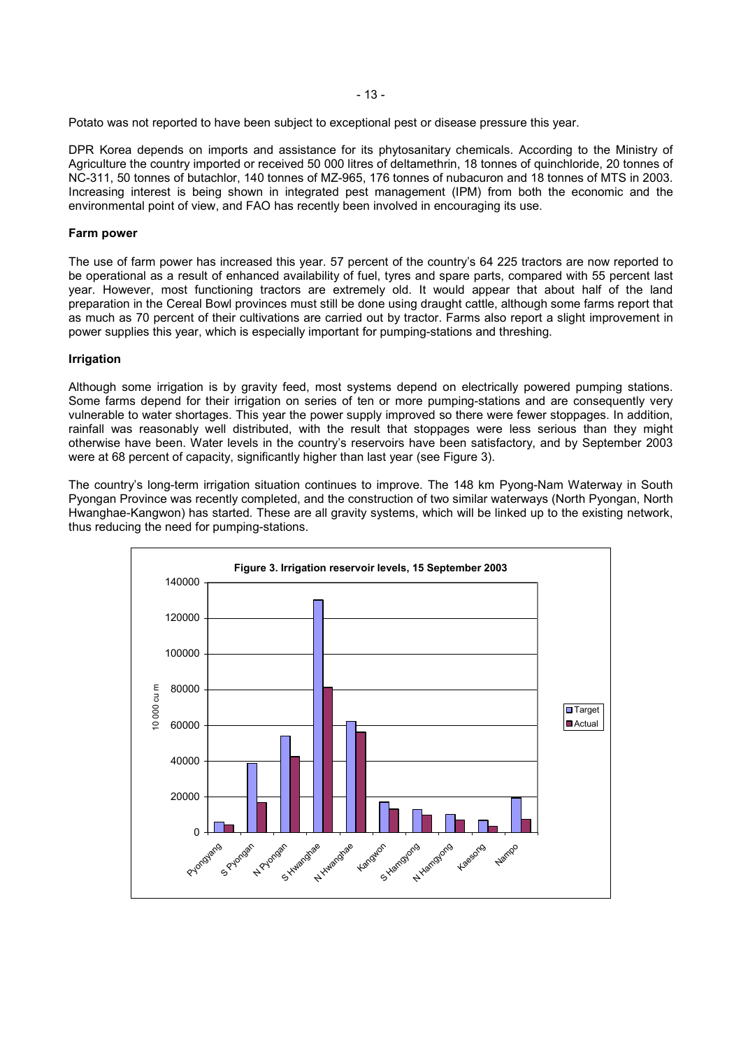Potato was not reported to have been subject to exceptional pest or disease pressure this year.

DPR Korea depends on imports and assistance for its phytosanitary chemicals. According to the Ministry of Agriculture the country imported or received 50 000 litres of deltamethrin, 18 tonnes of quinchloride, 20 tonnes of NC-311, 50 tonnes of butachlor, 140 tonnes of MZ-965, 176 tonnes of nubacuron and 18 tonnes of MTS in 2003. Increasing interest is being shown in integrated pest management (IPM) from both the economic and the environmental point of view, and FAO has recently been involved in encouraging its use.

# **Farm power**

The use of farm power has increased this year. 57 percent of the country's 64 225 tractors are now reported to be operational as a result of enhanced availability of fuel, tyres and spare parts, compared with 55 percent last year. However, most functioning tractors are extremely old. It would appear that about half of the land preparation in the Cereal Bowl provinces must still be done using draught cattle, although some farms report that as much as 70 percent of their cultivations are carried out by tractor. Farms also report a slight improvement in power supplies this year, which is especially important for pumping-stations and threshing.

#### **Irrigation**

Although some irrigation is by gravity feed, most systems depend on electrically powered pumping stations. Some farms depend for their irrigation on series of ten or more pumping-stations and are consequently very vulnerable to water shortages. This year the power supply improved so there were fewer stoppages. In addition, rainfall was reasonably well distributed, with the result that stoppages were less serious than they might otherwise have been. Water levels in the country's reservoirs have been satisfactory, and by September 2003 were at 68 percent of capacity, significantly higher than last year (see Figure 3).

The country's long-term irrigation situation continues to improve. The 148 km Pyong-Nam Waterway in South Pyongan Province was recently completed, and the construction of two similar waterways (North Pyongan, North Hwanghae-Kangwon) has started. These are all gravity systems, which will be linked up to the existing network, thus reducing the need for pumping-stations.

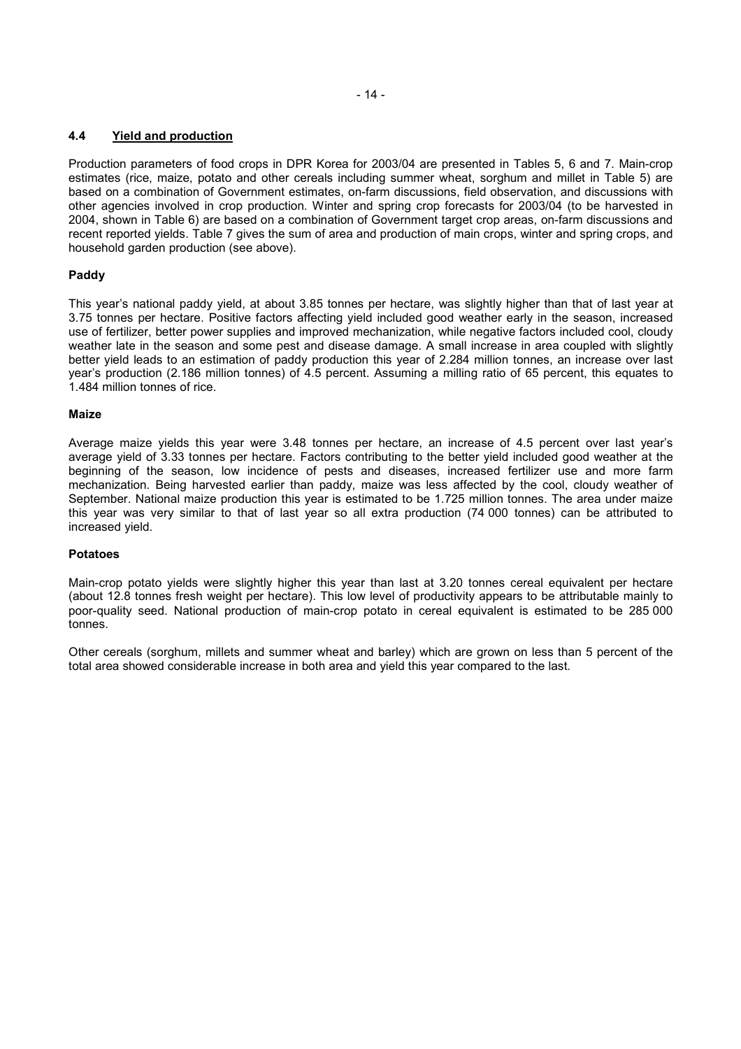# **4.4 Yield and production**

Production parameters of food crops in DPR Korea for 2003/04 are presented in Tables 5, 6 and 7. Main-crop estimates (rice, maize, potato and other cereals including summer wheat, sorghum and millet in Table 5) are based on a combination of Government estimates, on-farm discussions, field observation, and discussions with other agencies involved in crop production. Winter and spring crop forecasts for 2003/04 (to be harvested in 2004, shown in Table 6) are based on a combination of Government target crop areas, on-farm discussions and recent reported yields. Table 7 gives the sum of area and production of main crops, winter and spring crops, and household garden production (see above).

# **Paddy**

This year's national paddy yield, at about 3.85 tonnes per hectare, was slightly higher than that of last year at 3.75 tonnes per hectare. Positive factors affecting yield included good weather early in the season, increased use of fertilizer, better power supplies and improved mechanization, while negative factors included cool, cloudy weather late in the season and some pest and disease damage. A small increase in area coupled with slightly better yield leads to an estimation of paddy production this year of 2.284 million tonnes, an increase over last year's production (2.186 million tonnes) of 4.5 percent. Assuming a milling ratio of 65 percent, this equates to 1.484 million tonnes of rice.

# **Maize**

Average maize yields this year were 3.48 tonnes per hectare, an increase of 4.5 percent over last year's average yield of 3.33 tonnes per hectare. Factors contributing to the better yield included good weather at the beginning of the season, low incidence of pests and diseases, increased fertilizer use and more farm mechanization. Being harvested earlier than paddy, maize was less affected by the cool, cloudy weather of September. National maize production this year is estimated to be 1.725 million tonnes. The area under maize this year was very similar to that of last year so all extra production (74 000 tonnes) can be attributed to increased yield.

# **Potatoes**

Main-crop potato yields were slightly higher this year than last at 3.20 tonnes cereal equivalent per hectare (about 12.8 tonnes fresh weight per hectare). This low level of productivity appears to be attributable mainly to poor-quality seed. National production of main-crop potato in cereal equivalent is estimated to be 285 000 tonnes.

Other cereals (sorghum, millets and summer wheat and barley) which are grown on less than 5 percent of the total area showed considerable increase in both area and yield this year compared to the last.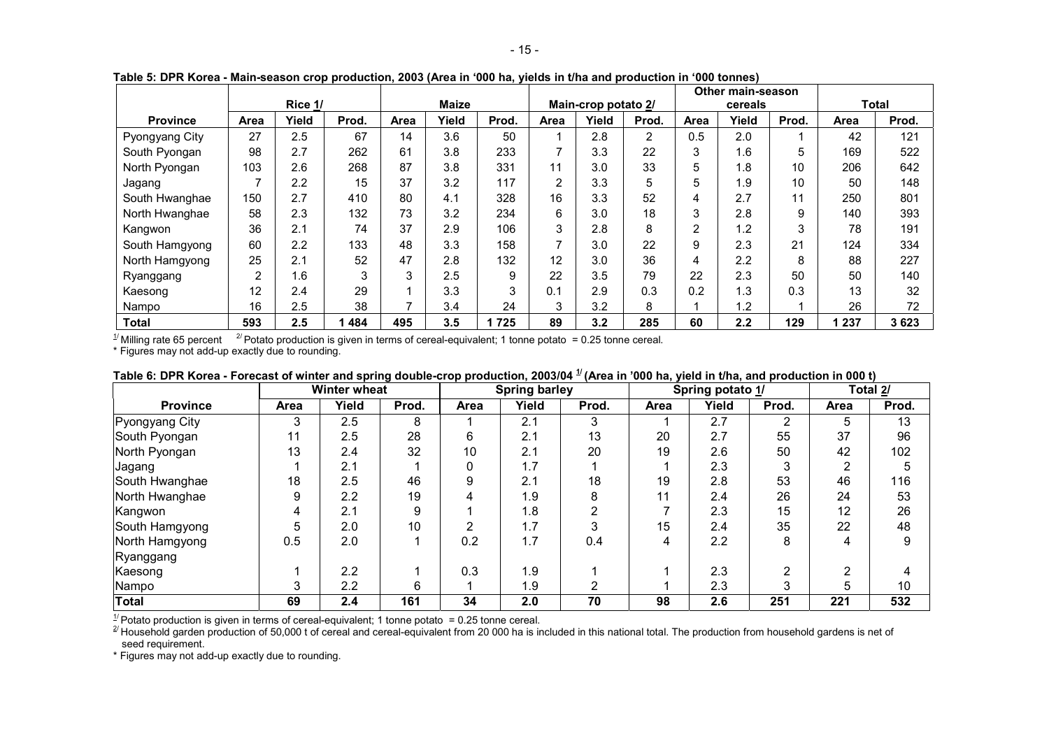|                 |      |         | .     |      |              |       |                |                     |       |      | Other main-season |       |       |       |
|-----------------|------|---------|-------|------|--------------|-------|----------------|---------------------|-------|------|-------------------|-------|-------|-------|
|                 |      | Rice 1/ |       |      | <b>Maize</b> |       |                | Main-crop potato 2/ |       |      | cereals           |       |       | Total |
| <b>Province</b> | Area | Yield   | Prod. | Area | Yield        | Prod. | Area           | Yield               | Prod. | Area | Yield             | Prod. | Area  | Prod. |
| Pyongyang City  | 27   | 2.5     | 67    | 14   | 3.6          | 50    |                | 2.8                 | 2     | 0.5  | 2.0               |       | 42    | 121   |
| South Pyongan   | 98   | 2.7     | 262   | 61   | 3.8          | 233   | $\overline{ }$ | 3.3                 | 22    | 3    | 1.6               | 5     | 169   | 522   |
| North Pyongan   | 103  | 2.6     | 268   | 87   | 3.8          | 331   | 11             | 3.0                 | 33    | 5    | 1.8               | 10    | 206   | 642   |
| Jagang          |      | 2.2     | 15    | 37   | 3.2          | 117   | $\overline{2}$ | 3.3                 | 5     | 5    | 1.9               | 10    | 50    | 148   |
| South Hwanghae  | 150  | 2.7     | 410   | 80   | 4.1          | 328   | 16             | 3.3                 | 52    |      | 2.7               | 11    | 250   | 801   |
| North Hwanghae  | 58   | 2.3     | 132   | 73   | 3.2          | 234   | 6              | 3.0                 | 18    | 3    | 2.8               | 9     | 140   | 393   |
| Kangwon         | 36   | 2.1     | 74    | 37   | 2.9          | 106   | 3              | 2.8                 | 8     | 2    | 1.2               | 3     | 78    | 191   |
| South Hamgyong  | 60   | 2.2     | 133   | 48   | 3.3          | 158   | 7              | 3.0                 | 22    | 9    | 2.3               | 21    | 124   | 334   |
| North Hamgyong  | 25   | 2.1     | 52    | 47   | 2.8          | 132   | 12             | 3.0                 | 36    | 4    | 2.2               | 8     | 88    | 227   |
| Ryanggang       | 2    | . 6     | 3     | 3    | 2.5          | 9     | 22             | 3.5                 | 79    | 22   | 2.3               | 50    | 50    | 140   |
| Kaesong         | 12   | 2.4     | 29    |      | 3.3          | 3     | 0.1            | 2.9                 | 0.3   | 0.2  | 1.3               | 0.3   | 13    | 32    |
| Nampo           | 16   | 2.5     | 38    |      | 3.4          | 24    | 3              | 3.2                 | 8     |      | 1.2               |       | 26    | 72    |
| Total           | 593  | 2.5     | 484   | 495  | 3.5          | 1725  | 89             | 3.2                 | 285   | 60   | 2.2               | 129   | 1 237 | 3623  |

**Table 5: DPR Korea - Main-season crop production, 2003 (Area in '000 ha, yields in t/ha and production in '000 tonnes)**

 $^{1/2}$  Milling rate 65 percent  $2/$  Potato production is given in terms of cereal-equivalent; 1 tonne potato = 0.25 tonne cereal.

\* Figures may not add-up exactly due to rounding.

|                 |      | <b>Winter wheat</b> |       |      | <b>Spring barley</b> |       |             |       | Spring potato 1/ |      | Total 2/ |
|-----------------|------|---------------------|-------|------|----------------------|-------|-------------|-------|------------------|------|----------|
| <b>Province</b> | Area | Yield               | Prod. | Area | Yield                | Prod. | <b>Area</b> | Yield | Prod.            | Area | Prod.    |
| Pyongyang City  | 3    | 2.5                 | 8     |      | 2.1                  |       |             | 2.7   |                  | 5    | 13       |
| South Pyongan   | 11   | 2.5                 | 28    | 6    | 2.1                  | 13    | 20          | 2.7   | 55               | 37   | 96       |
| North Pyongan   | 13   | 2.4                 | 32    | 10   | 2.1                  | 20    | 19          | 2.6   | 50               | 42   | 102      |
| Jagang          |      | 2.1                 |       |      | 1.7                  |       |             | 2.3   |                  |      |          |
| South Hwanghae  | 18   | 2.5                 | 46    | 9    | 2.1                  | 18    | 19          | 2.8   | 53               | 46   | 116      |
| North Hwanghae  | 9    | 2.2                 | 19    | 4    | 1.9                  |       | 11          | 2.4   | 26               | 24   | 53       |
| Kangwon         |      | 2.1                 | 9     |      | 1.8                  |       |             | 2.3   | 15               | 12   | 26       |
| South Hamgyong  | 5    | 2.0                 | 10    | 2    | 1.7                  |       | 15          | 2.4   | 35               | 22   | 48       |
| North Hamgyong  | 0.5  | 2.0                 |       | 0.2  | 1.7                  | 0.4   | 4           | 2.2   | 8                |      |          |
| Ryanggang       |      |                     |       |      |                      |       |             |       |                  |      |          |
| Kaesong         |      | 2.2                 |       | 0.3  | 1.9                  |       |             | 2.3   | っ                | ົ    |          |
| Nampo           |      | 2.2                 | 6     |      | 1.9                  |       |             | 2.3   | 3                | 5    | 10       |
| Total           | 69   | $2.4^{\circ}$       | 161   | 34   | 2.0                  | 70    | 98          | 2.6   | 251              | 221  | 532      |

| Table 6: DPR Korea - Forecast of winter and spring double-crop production, 2003/04 $^{11}$ (Area in '000 ha, yield in t/ha, and production in 000 t) |  |  |
|------------------------------------------------------------------------------------------------------------------------------------------------------|--|--|
|                                                                                                                                                      |  |  |

 $\frac{1}{2}$  Potato production is given in terms of cereal-equivalent; 1 tonne potato = 0.25 tonne cereal.<br>  $\frac{2}{1}$  Household garden production of 50,000 t of cereal and cereal-equivalent from 20 000 ha is included in this seed requirement.

\* Figures may not add-up exactly due to rounding.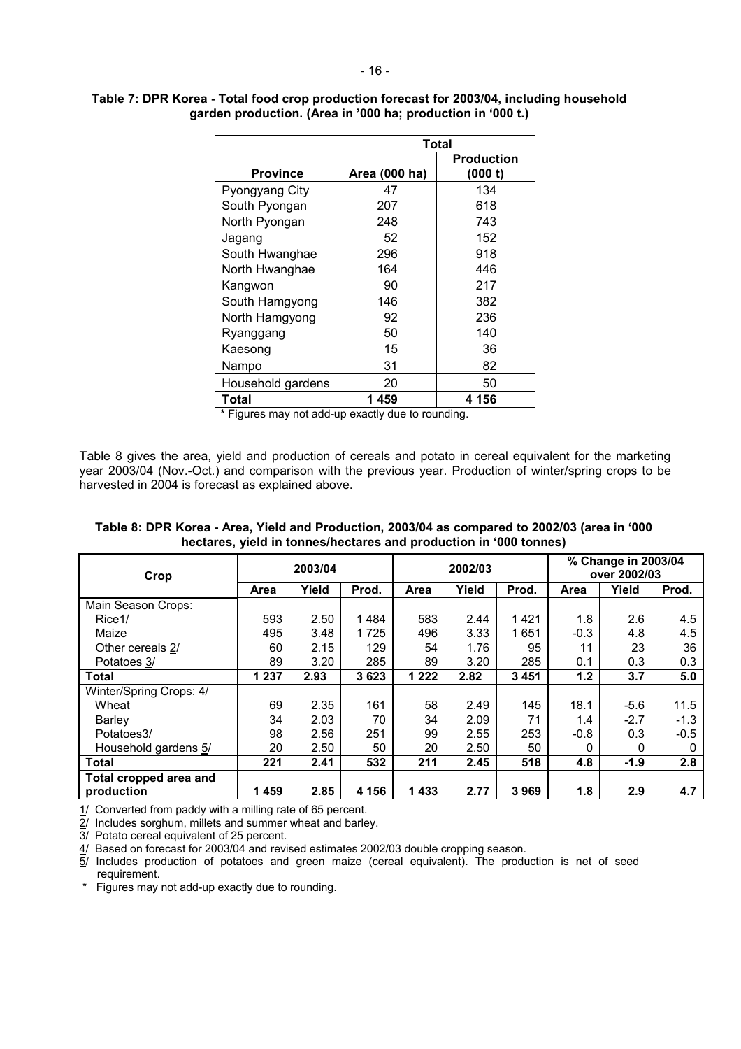|                   | Total         |                              |  |  |  |  |  |  |
|-------------------|---------------|------------------------------|--|--|--|--|--|--|
| <b>Province</b>   | Area (000 ha) | <b>Production</b><br>(000 t) |  |  |  |  |  |  |
| Pyongyang City    | 47            | 134                          |  |  |  |  |  |  |
| South Pyongan     | 207           | 618                          |  |  |  |  |  |  |
| North Pyongan     | 248           | 743                          |  |  |  |  |  |  |
| Jagang            | 52            | 152                          |  |  |  |  |  |  |
| South Hwanghae    | 296           | 918                          |  |  |  |  |  |  |
| North Hwanghae    | 164           | 446                          |  |  |  |  |  |  |
| Kangwon           | 90            | 217                          |  |  |  |  |  |  |
| South Hamgyong    | 146           | 382                          |  |  |  |  |  |  |
| North Hamgyong    | 92            | 236                          |  |  |  |  |  |  |
| Ryanggang         | 50            | 140                          |  |  |  |  |  |  |
| Kaesong           | 15            | 36                           |  |  |  |  |  |  |
| Nampo             | 31            | 82                           |  |  |  |  |  |  |
| Household gardens | 20            | 50                           |  |  |  |  |  |  |
| Total             | 1459          | 4 156                        |  |  |  |  |  |  |

# **Table 7: DPR Korea - Total food crop production forecast for 2003/04, including household garden production. (Area in '000 ha; production in '000 t.)**

**\*** Figures may not add-up exactly due to rounding.

Table 8 gives the area, yield and production of cereals and potato in cereal equivalent for the marketing year 2003/04 (Nov.-Oct.) and comparison with the previous year. Production of winter/spring crops to be harvested in 2004 is forecast as explained above.

| Table 8: DPR Korea - Area, Yield and Production, 2003/04 as compared to 2002/03 (area in '000 |
|-----------------------------------------------------------------------------------------------|
| hectares, yield in tonnes/hectares and production in '000 tonnes)                             |

| Crop                    | 2003/04 |       |       |          | 2002/03 |         | % Change in 2003/04<br>over 2002/03 |        |        |
|-------------------------|---------|-------|-------|----------|---------|---------|-------------------------------------|--------|--------|
|                         | Area    | Yield | Prod. | Area     | Yield   | Prod.   | Area                                | Yield  | Prod.  |
| Main Season Crops:      |         |       |       |          |         |         |                                     |        |        |
| Rice1/                  | 593     | 2.50  | 1484  | 583      | 2.44    | 1421    | 1.8                                 | 2.6    | 4.5    |
| Maize                   | 495     | 3.48  | 1725  | 496      | 3.33    | 1651    | $-0.3$                              | 4.8    | 4.5    |
| Other cereals 2/        | 60      | 2.15  | 129   | 54       | 1.76    | 95      | 11                                  | 23     | 36     |
| Potatoes 3/             | 89      | 3.20  | 285   | 89       | 3.20    | 285     | 0.1                                 | 0.3    | 0.3    |
| <b>Total</b>            | 1 2 3 7 | 2.93  | 3623  | 222<br>1 | 2.82    | 3 4 5 1 | 1.2                                 | 3.7    | 5.0    |
| Winter/Spring Crops: 4/ |         |       |       |          |         |         |                                     |        |        |
| Wheat                   | 69      | 2.35  | 161   | 58       | 2.49    | 145     | 18.1                                | $-5.6$ | 11.5   |
| <b>Barley</b>           | 34      | 2.03  | 70    | 34       | 2.09    | 71      | 1.4                                 | $-2.7$ | $-1.3$ |
| Potatoes3/              | 98      | 2.56  | 251   | 99       | 2.55    | 253     | $-0.8$                              | 0.3    | $-0.5$ |
| Household gardens 5/    | 20      | 2.50  | 50    | 20       | 2.50    | 50      | 0                                   | 0      | 0      |
| <b>Total</b>            | 221     | 2.41  | 532   | 211      | 2.45    | 518     | 4.8                                 | $-1.9$ | 2.8    |
| Total cropped area and  |         |       |       |          |         |         |                                     |        |        |
| production              | 1459    | 2.85  | 4 156 | 1433     | 2.77    | 3969    | 1.8                                 | 2.9    | 4.7    |

1/ Converted from paddy with a milling rate of 65 percent.

 $\overline{2}$ / Includes sorghum, millets and summer wheat and barley.

3/ Potato cereal equivalent of 25 percent.

 $\frac{4}{1}$  Based on forecast for 2003/04 and revised estimates 2002/03 double cropping season.

 $\overline{5}$ / Includes production of potatoes and green maize (cereal equivalent). The production is net of seed requirement.

\* Figures may not add-up exactly due to rounding.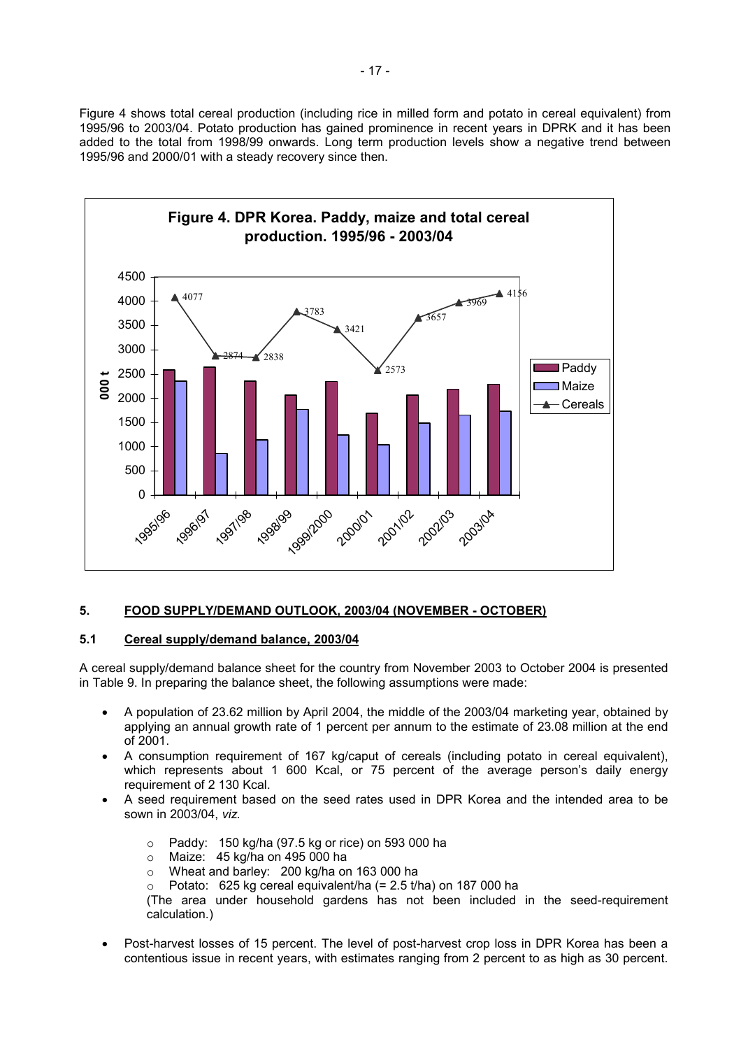Figure 4 shows total cereal production (including rice in milled form and potato in cereal equivalent) from 1995/96 to 2003/04. Potato production has gained prominence in recent years in DPRK and it has been added to the total from 1998/99 onwards. Long term production levels show a negative trend between 1995/96 and 2000/01 with a steady recovery since then.



# **5. FOOD SUPPLY/DEMAND OUTLOOK, 2003/04 (NOVEMBER - OCTOBER)**

# **5.1 Cereal supply/demand balance, 2003/04**

A cereal supply/demand balance sheet for the country from November 2003 to October 2004 is presented in Table 9. In preparing the balance sheet, the following assumptions were made:

- A population of 23.62 million by April 2004, the middle of the 2003/04 marketing year, obtained by applying an annual growth rate of 1 percent per annum to the estimate of 23.08 million at the end of 2001.
- A consumption requirement of 167 kg/caput of cereals (including potato in cereal equivalent), which represents about 1 600 Kcal, or 75 percent of the average person's daily energy requirement of 2 130 Kcal.
- A seed requirement based on the seed rates used in DPR Korea and the intended area to be sown in 2003/04, *viz.*
	- $\circ$  Paddy: 150 kg/ha (97.5 kg or rice) on 593 000 ha
	- o Maize: 45 kg/ha on 495 000 ha
	- o Wheat and barley: 200 kg/ha on 163 000 ha
	- $\circ$  Potato: 625 kg cereal equivalent/ha (= 2.5 t/ha) on 187 000 ha

(The area under household gardens has not been included in the seed-requirement calculation.)

• Post-harvest losses of 15 percent. The level of post-harvest crop loss in DPR Korea has been a contentious issue in recent years, with estimates ranging from 2 percent to as high as 30 percent.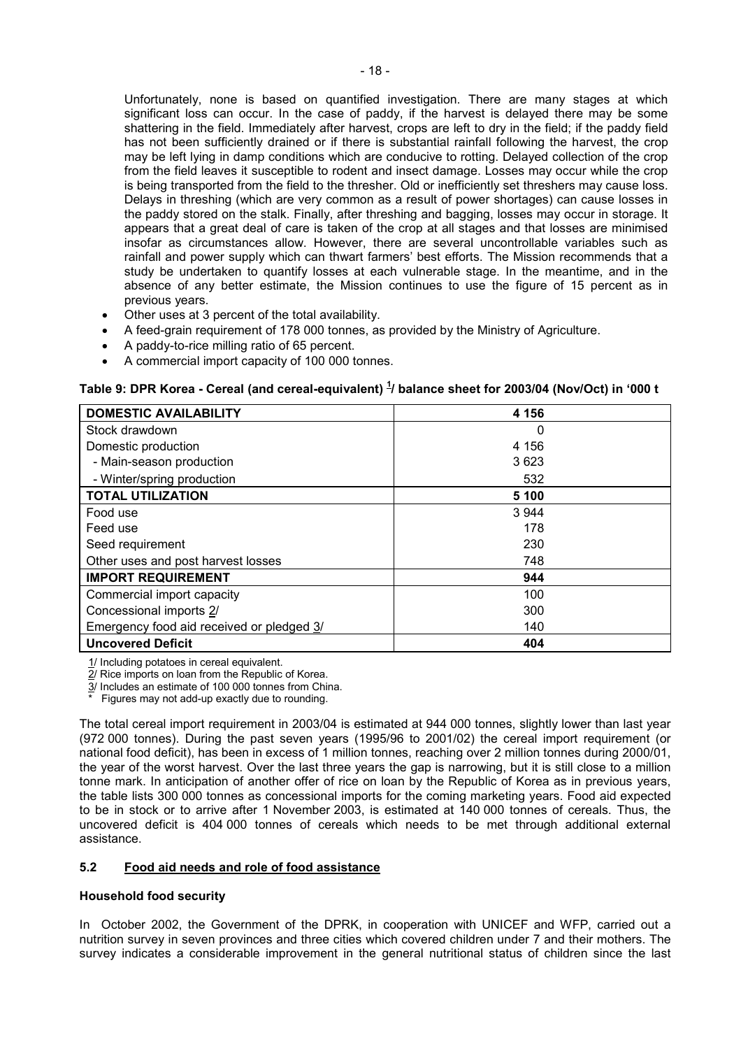Unfortunately, none is based on quantified investigation. There are many stages at which significant loss can occur. In the case of paddy, if the harvest is delayed there may be some shattering in the field. Immediately after harvest, crops are left to dry in the field; if the paddy field has not been sufficiently drained or if there is substantial rainfall following the harvest, the crop may be left lying in damp conditions which are conducive to rotting. Delayed collection of the crop from the field leaves it susceptible to rodent and insect damage. Losses may occur while the crop is being transported from the field to the thresher. Old or inefficiently set threshers may cause loss. Delays in threshing (which are very common as a result of power shortages) can cause losses in the paddy stored on the stalk. Finally, after threshing and bagging, losses may occur in storage. It appears that a great deal of care is taken of the crop at all stages and that losses are minimised insofar as circumstances allow. However, there are several uncontrollable variables such as rainfall and power supply which can thwart farmers' best efforts. The Mission recommends that a study be undertaken to quantify losses at each vulnerable stage. In the meantime, and in the absence of any better estimate, the Mission continues to use the figure of 15 percent as in previous years.

- Other uses at 3 percent of the total availability.
- A feed-grain requirement of 178 000 tonnes, as provided by the Ministry of Agriculture.
- A paddy-to-rice milling ratio of 65 percent.
- A commercial import capacity of 100 000 tonnes.

# **Table 9: DPR Korea - Cereal (and cereal-equivalent) <sup>1</sup> / balance sheet for 2003/04 (Nov/Oct) in '000 t**

| <b>DOMESTIC AVAILABILITY</b>              | 4 156   |  |  |  |  |
|-------------------------------------------|---------|--|--|--|--|
| Stock drawdown                            | 0       |  |  |  |  |
| Domestic production                       | 4 1 5 6 |  |  |  |  |
| - Main-season production                  | 3623    |  |  |  |  |
| - Winter/spring production                | 532     |  |  |  |  |
| <b>TOTAL UTILIZATION</b>                  | 5 100   |  |  |  |  |
| Food use                                  | 3 9 4 4 |  |  |  |  |
| Feed use                                  | 178     |  |  |  |  |
| Seed requirement                          | 230     |  |  |  |  |
| Other uses and post harvest losses        | 748     |  |  |  |  |
| <b>IMPORT REQUIREMENT</b>                 | 944     |  |  |  |  |
| Commercial import capacity                | 100     |  |  |  |  |
| Concessional imports 2/                   | 300     |  |  |  |  |
| Emergency food aid received or pledged 3/ | 140     |  |  |  |  |
| <b>Uncovered Deficit</b>                  | 404     |  |  |  |  |

1/ Including potatoes in cereal equivalent.

2/ Rice imports on loan from the Republic of Korea.

 $\frac{3}{3}$  Includes an estimate of 100 000 tonnes from China.

Figures may not add-up exactly due to rounding.

The total cereal import requirement in 2003/04 is estimated at 944 000 tonnes, slightly lower than last year (972 000 tonnes). During the past seven years (1995/96 to 2001/02) the cereal import requirement (or national food deficit), has been in excess of 1 million tonnes, reaching over 2 million tonnes during 2000/01, the year of the worst harvest. Over the last three years the gap is narrowing, but it is still close to a million tonne mark. In anticipation of another offer of rice on loan by the Republic of Korea as in previous years, the table lists 300 000 tonnes as concessional imports for the coming marketing years. Food aid expected to be in stock or to arrive after 1 November 2003, is estimated at 140 000 tonnes of cereals. Thus, the uncovered deficit is 404 000 tonnes of cereals which needs to be met through additional external assistance.

# **5.2 Food aid needs and role of food assistance**

#### **Household food security**

In October 2002, the Government of the DPRK, in cooperation with UNICEF and WFP, carried out a nutrition survey in seven provinces and three cities which covered children under 7 and their mothers. The survey indicates a considerable improvement in the general nutritional status of children since the last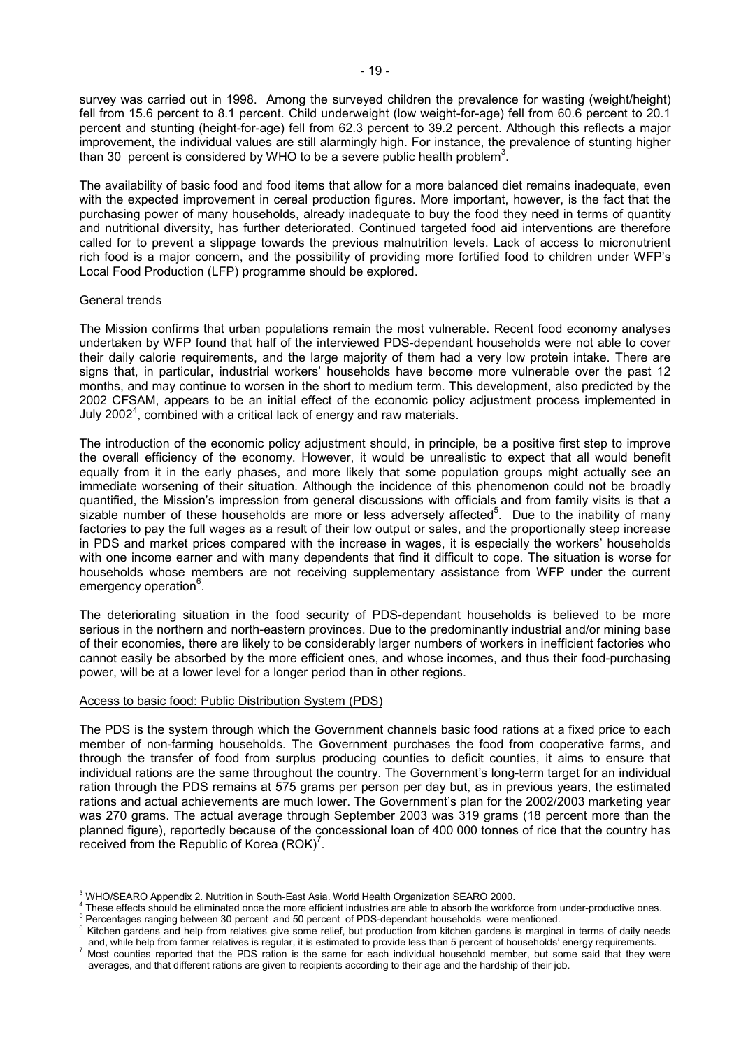survey was carried out in 1998. Among the surveyed children the prevalence for wasting (weight/height) fell from 15.6 percent to 8.1 percent. Child underweight (low weight-for-age) fell from 60.6 percent to 20.1 percent and stunting (height-for-age) fell from 62.3 percent to 39.2 percent. Although this reflects a major improvement, the individual values are still alarmingly high. For instance, the prevalence of stunting higher than 30 percent is considered by WHO to be a severe public health problem<sup>3</sup>.

The availability of basic food and food items that allow for a more balanced diet remains inadequate, even with the expected improvement in cereal production figures. More important, however, is the fact that the purchasing power of many households, already inadequate to buy the food they need in terms of quantity and nutritional diversity, has further deteriorated. Continued targeted food aid interventions are therefore called for to prevent a slippage towards the previous malnutrition levels. Lack of access to micronutrient rich food is a major concern, and the possibility of providing more fortified food to children under WFP's Local Food Production (LFP) programme should be explored.

# General trends

The Mission confirms that urban populations remain the most vulnerable. Recent food economy analyses undertaken by WFP found that half of the interviewed PDS-dependant households were not able to cover their daily calorie requirements, and the large majority of them had a very low protein intake. There are signs that, in particular, industrial workers' households have become more vulnerable over the past 12 months, and may continue to worsen in the short to medium term. This development, also predicted by the 2002 CFSAM, appears to be an initial effect of the economic policy adjustment process implemented in July 2002<sup>4</sup>, combined with a critical lack of energy and raw materials.

The introduction of the economic policy adjustment should, in principle, be a positive first step to improve the overall efficiency of the economy. However, it would be unrealistic to expect that all would benefit equally from it in the early phases, and more likely that some population groups might actually see an immediate worsening of their situation. Although the incidence of this phenomenon could not be broadly quantified, the Mission's impression from general discussions with officials and from family visits is that a sizable number of these households are more or less adversely affected<sup>5</sup>. Due to the inability of many factories to pay the full wages as a result of their low output or sales, and the proportionally steep increase in PDS and market prices compared with the increase in wages, it is especially the workers' households with one income earner and with many dependents that find it difficult to cope. The situation is worse for households whose members are not receiving supplementary assistance from WFP under the current emergency operation<sup>6</sup>.

The deteriorating situation in the food security of PDS-dependant households is believed to be more serious in the northern and north-eastern provinces. Due to the predominantly industrial and/or mining base of their economies, there are likely to be considerably larger numbers of workers in inefficient factories who cannot easily be absorbed by the more efficient ones, and whose incomes, and thus their food-purchasing power, will be at a lower level for a longer period than in other regions.

# Access to basic food: Public Distribution System (PDS)

The PDS is the system through which the Government channels basic food rations at a fixed price to each member of non-farming households. The Government purchases the food from cooperative farms, and through the transfer of food from surplus producing counties to deficit counties, it aims to ensure that individual rations are the same throughout the country. The Government's long-term target for an individual ration through the PDS remains at 575 grams per person per day but, as in previous years, the estimated rations and actual achievements are much lower. The Government's plan for the 2002/2003 marketing year was 270 grams. The actual average through September 2003 was 319 grams (18 percent more than the planned figure), reportedly because of the concessional loan of 400 000 tonnes of rice that the country has received from the Republic of Korea  $(ROK)^7$ .

 3 WHO/SEARO Appendix 2. Nutrition in South-East Asia. World Health Organization SEARO 2000.

<sup>&</sup>lt;sup>4</sup> These effects should be eliminated once the more efficient industries are able to absorb the workforce from under-productive ones.<br><sup>5</sup> Percentages rapping between 20 percent, and 50 percent, of PDS dependent beyoghelds Percentages ranging between 30 percent and 50 percent of PDS-dependant households were mentioned.

 $6$  Kitchen gardens and help from relatives give some relief, but production from kitchen gardens is marginal in terms of daily needs and, while help from farmer relatives is regular, it is estimated to provide less than 5 percent of households' energy requirements. 7 Most counties reported that the PDS ration is the same for each individual household member, but some said that they were

averages, and that different rations are given to recipients according to their age and the hardship of their job.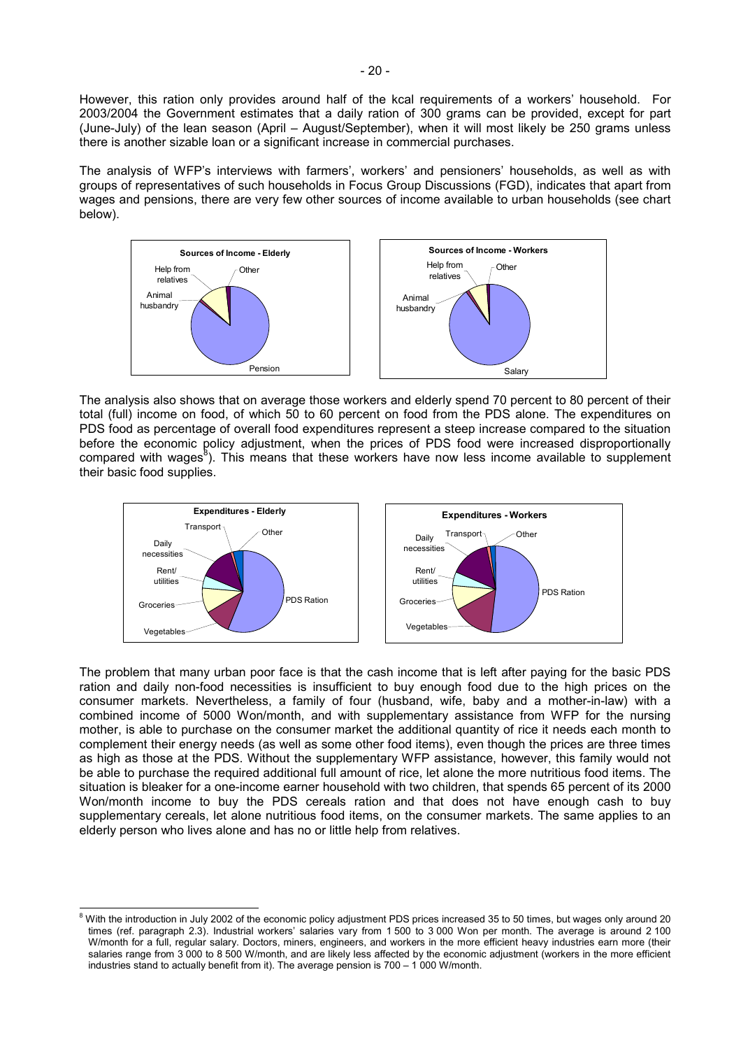However, this ration only provides around half of the kcal requirements of a workers' household. For 2003/2004 the Government estimates that a daily ration of 300 grams can be provided, except for part (June-July) of the lean season (April – August/September), when it will most likely be 250 grams unless there is another sizable loan or a significant increase in commercial purchases.

The analysis of WFP's interviews with farmers', workers' and pensioners' households, as well as with groups of representatives of such households in Focus Group Discussions (FGD), indicates that apart from wages and pensions, there are very few other sources of income available to urban households (see chart below).



The analysis also shows that on average those workers and elderly spend 70 percent to 80 percent of their total (full) income on food, of which 50 to 60 percent on food from the PDS alone. The expenditures on PDS food as percentage of overall food expenditures represent a steep increase compared to the situation before the economic policy adjustment, when the prices of PDS food were increased disproportionally compared with wages $^{8}$ ). This means that these workers have now less income available to supplement their basic food supplies.



The problem that many urban poor face is that the cash income that is left after paying for the basic PDS ration and daily non-food necessities is insufficient to buy enough food due to the high prices on the consumer markets. Nevertheless, a family of four (husband, wife, baby and a mother-in-law) with a combined income of 5000 Won/month, and with supplementary assistance from WFP for the nursing mother, is able to purchase on the consumer market the additional quantity of rice it needs each month to complement their energy needs (as well as some other food items), even though the prices are three times as high as those at the PDS. Without the supplementary WFP assistance, however, this family would not be able to purchase the required additional full amount of rice, let alone the more nutritious food items. The situation is bleaker for a one-income earner household with two children, that spends 65 percent of its 2000 Won/month income to buy the PDS cereals ration and that does not have enough cash to buy supplementary cereals, let alone nutritious food items, on the consumer markets. The same applies to an elderly person who lives alone and has no or little help from relatives.

 8 With the introduction in July 2002 of the economic policy adjustment PDS prices increased 35 to 50 times, but wages only around 20 times (ref. paragraph 2.3). Industrial workers' salaries vary from 1 500 to 3 000 Won per month. The average is around 2 100 W/month for a full, regular salary. Doctors, miners, engineers, and workers in the more efficient heavy industries earn more (their salaries range from 3 000 to 8 500 W/month, and are likely less affected by the economic adjustment (workers in the more efficient industries stand to actually benefit from it). The average pension is 700 – 1 000 W/month.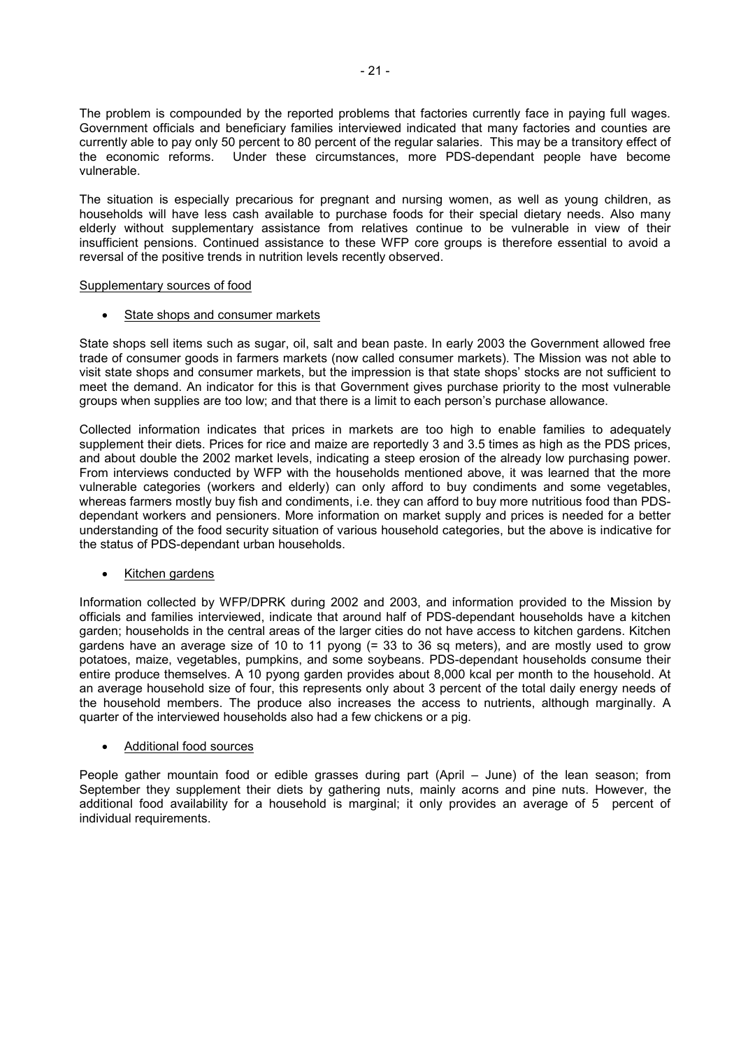The problem is compounded by the reported problems that factories currently face in paying full wages. Government officials and beneficiary families interviewed indicated that many factories and counties are currently able to pay only 50 percent to 80 percent of the regular salaries. This may be a transitory effect of the economic reforms. Under these circumstances, more PDS-dependant people have become vulnerable.

The situation is especially precarious for pregnant and nursing women, as well as young children, as households will have less cash available to purchase foods for their special dietary needs. Also many elderly without supplementary assistance from relatives continue to be vulnerable in view of their insufficient pensions. Continued assistance to these WFP core groups is therefore essential to avoid a reversal of the positive trends in nutrition levels recently observed.

# Supplementary sources of food

• State shops and consumer markets

State shops sell items such as sugar, oil, salt and bean paste. In early 2003 the Government allowed free trade of consumer goods in farmers markets (now called consumer markets). The Mission was not able to visit state shops and consumer markets, but the impression is that state shops' stocks are not sufficient to meet the demand. An indicator for this is that Government gives purchase priority to the most vulnerable groups when supplies are too low; and that there is a limit to each person's purchase allowance.

Collected information indicates that prices in markets are too high to enable families to adequately supplement their diets. Prices for rice and maize are reportedly 3 and 3.5 times as high as the PDS prices, and about double the 2002 market levels, indicating a steep erosion of the already low purchasing power. From interviews conducted by WFP with the households mentioned above, it was learned that the more vulnerable categories (workers and elderly) can only afford to buy condiments and some vegetables, whereas farmers mostly buy fish and condiments, i.e. they can afford to buy more nutritious food than PDSdependant workers and pensioners. More information on market supply and prices is needed for a better understanding of the food security situation of various household categories, but the above is indicative for the status of PDS-dependant urban households.

# • Kitchen gardens

Information collected by WFP/DPRK during 2002 and 2003, and information provided to the Mission by officials and families interviewed, indicate that around half of PDS-dependant households have a kitchen garden; households in the central areas of the larger cities do not have access to kitchen gardens. Kitchen gardens have an average size of 10 to 11 pyong (= 33 to 36 sq meters), and are mostly used to grow potatoes, maize, vegetables, pumpkins, and some soybeans. PDS-dependant households consume their entire produce themselves. A 10 pyong garden provides about 8,000 kcal per month to the household. At an average household size of four, this represents only about 3 percent of the total daily energy needs of the household members. The produce also increases the access to nutrients, although marginally. A quarter of the interviewed households also had a few chickens or a pig.

# • Additional food sources

People gather mountain food or edible grasses during part (April – June) of the lean season; from September they supplement their diets by gathering nuts, mainly acorns and pine nuts. However, the additional food availability for a household is marginal; it only provides an average of 5 percent of individual requirements.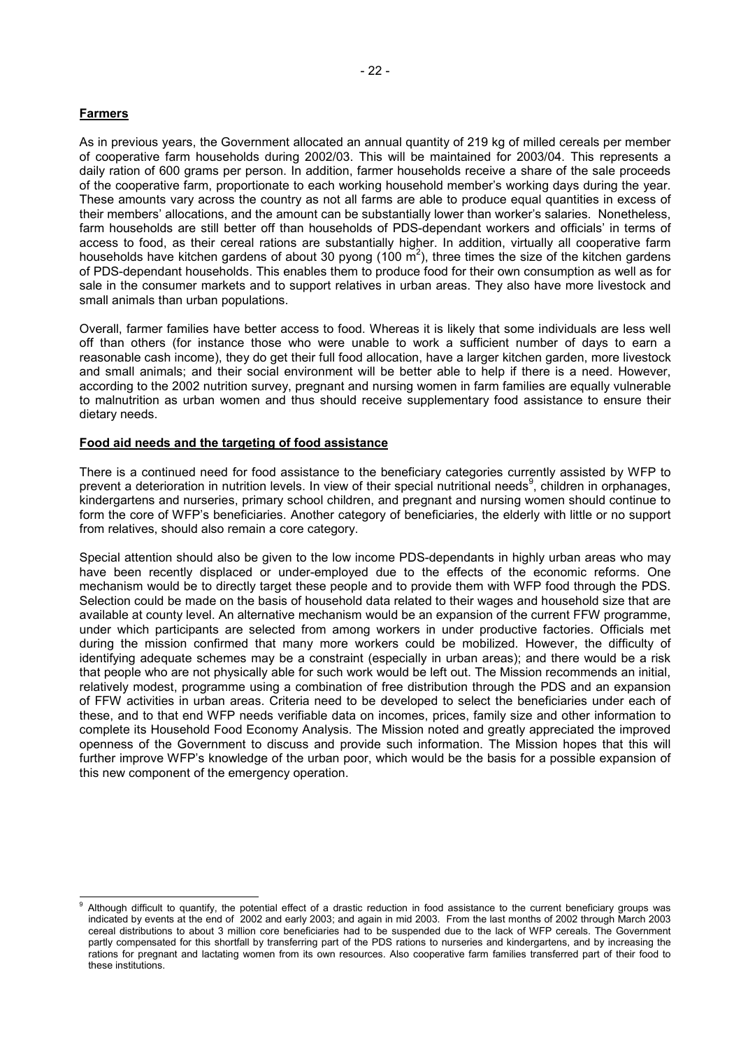# **Farmers**

l

As in previous years, the Government allocated an annual quantity of 219 kg of milled cereals per member of cooperative farm households during 2002/03. This will be maintained for 2003/04. This represents a daily ration of 600 grams per person. In addition, farmer households receive a share of the sale proceeds of the cooperative farm, proportionate to each working household member's working days during the year. These amounts vary across the country as not all farms are able to produce equal quantities in excess of their members' allocations, and the amount can be substantially lower than worker's salaries. Nonetheless, farm households are still better off than households of PDS-dependant workers and officials' in terms of access to food, as their cereal rations are substantially higher. In addition, virtually all cooperative farm households have kitchen gardens of about 30 pyong (100  $\text{m}^2$ ), three times the size of the kitchen gardens of PDS-dependant households. This enables them to produce food for their own consumption as well as for sale in the consumer markets and to support relatives in urban areas. They also have more livestock and small animals than urban populations.

Overall, farmer families have better access to food. Whereas it is likely that some individuals are less well off than others (for instance those who were unable to work a sufficient number of days to earn a reasonable cash income), they do get their full food allocation, have a larger kitchen garden, more livestock and small animals; and their social environment will be better able to help if there is a need. However, according to the 2002 nutrition survey, pregnant and nursing women in farm families are equally vulnerable to malnutrition as urban women and thus should receive supplementary food assistance to ensure their dietary needs.

# **Food aid needs and the targeting of food assistance**

There is a continued need for food assistance to the beneficiary categories currently assisted by WFP to prevent a deterioration in nutrition levels. In view of their special nutritional needs<sup>9</sup>, children in orphanages, kindergartens and nurseries, primary school children, and pregnant and nursing women should continue to form the core of WFP's beneficiaries. Another category of beneficiaries, the elderly with little or no support from relatives, should also remain a core category.

Special attention should also be given to the low income PDS-dependants in highly urban areas who may have been recently displaced or under-employed due to the effects of the economic reforms. One mechanism would be to directly target these people and to provide them with WFP food through the PDS. Selection could be made on the basis of household data related to their wages and household size that are available at county level. An alternative mechanism would be an expansion of the current FFW programme, under which participants are selected from among workers in under productive factories. Officials met during the mission confirmed that many more workers could be mobilized. However, the difficulty of identifying adequate schemes may be a constraint (especially in urban areas); and there would be a risk that people who are not physically able for such work would be left out. The Mission recommends an initial, relatively modest, programme using a combination of free distribution through the PDS and an expansion of FFW activities in urban areas. Criteria need to be developed to select the beneficiaries under each of these, and to that end WFP needs verifiable data on incomes, prices, family size and other information to complete its Household Food Economy Analysis. The Mission noted and greatly appreciated the improved openness of the Government to discuss and provide such information. The Mission hopes that this will further improve WFP's knowledge of the urban poor, which would be the basis for a possible expansion of this new component of the emergency operation.

Although difficult to quantify, the potential effect of a drastic reduction in food assistance to the current beneficiary groups was indicated by events at the end of 2002 and early 2003; and again in mid 2003. From the last months of 2002 through March 2003 cereal distributions to about 3 million core beneficiaries had to be suspended due to the lack of WFP cereals. The Government partly compensated for this shortfall by transferring part of the PDS rations to nurseries and kindergartens, and by increasing the rations for pregnant and lactating women from its own resources. Also cooperative farm families transferred part of their food to these institutions.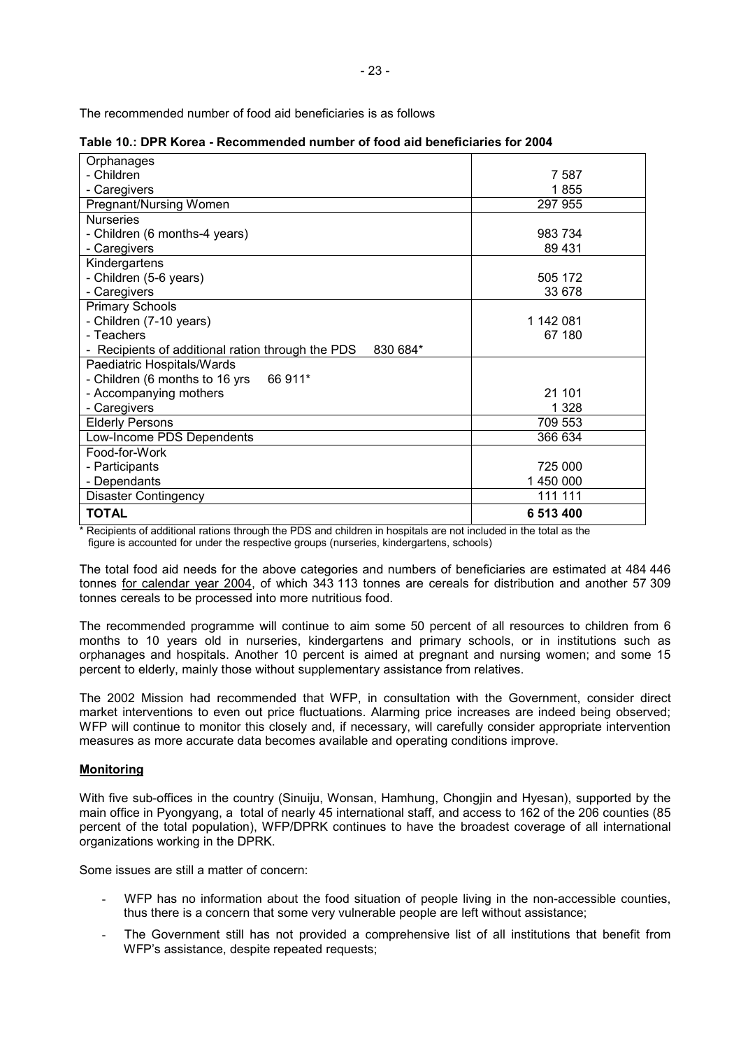The recommended number of food aid beneficiaries is as follows

| Orphanages                                                                    |           |
|-------------------------------------------------------------------------------|-----------|
| - Children                                                                    | 7 5 8 7   |
| - Caregivers                                                                  | 1855      |
| Pregnant/Nursing Women                                                        | 297 955   |
| <b>Nurseries</b>                                                              |           |
| - Children (6 months-4 years)                                                 | 983 734   |
| - Caregivers                                                                  | 89 431    |
| Kindergartens                                                                 |           |
| - Children (5-6 years)                                                        | 505 172   |
| - Caregivers                                                                  | 33 678    |
| <b>Primary Schools</b>                                                        |           |
| - Children (7-10 years)                                                       | 1 142 081 |
| - Teachers                                                                    | 67 180    |
| Recipients of additional ration through the PDS<br>830 684*<br>$\overline{a}$ |           |
| Paediatric Hospitals/Wards                                                    |           |
| - Children (6 months to 16 yrs<br>66 911*                                     |           |
| - Accompanying mothers                                                        | 21 101    |
| - Caregivers                                                                  | 1 3 2 8   |
| <b>Elderly Persons</b>                                                        | 709 553   |
| Low-Income PDS Dependents                                                     | 366 634   |
| Food-for-Work                                                                 |           |
| - Participants                                                                | 725 000   |
| - Dependants                                                                  | 1 450 000 |
| <b>Disaster Contingency</b>                                                   | 111 111   |
| <b>TOTAL</b>                                                                  | 6 513 400 |
|                                                                               |           |

|  | Table 10.: DPR Korea - Recommended number of food aid beneficiaries for 2004 |  |  |  |
|--|------------------------------------------------------------------------------|--|--|--|
|--|------------------------------------------------------------------------------|--|--|--|

\* Recipients of additional rations through the PDS and children in hospitals are not included in the total as the figure is accounted for under the respective groups (nurseries, kindergartens, schools)

The total food aid needs for the above categories and numbers of beneficiaries are estimated at 484 446 tonnes for calendar year 2004, of which 343 113 tonnes are cereals for distribution and another 57 309 tonnes cereals to be processed into more nutritious food.

The recommended programme will continue to aim some 50 percent of all resources to children from 6 months to 10 years old in nurseries, kindergartens and primary schools, or in institutions such as orphanages and hospitals. Another 10 percent is aimed at pregnant and nursing women; and some 15 percent to elderly, mainly those without supplementary assistance from relatives.

The 2002 Mission had recommended that WFP, in consultation with the Government, consider direct market interventions to even out price fluctuations. Alarming price increases are indeed being observed; WFP will continue to monitor this closely and, if necessary, will carefully consider appropriate intervention measures as more accurate data becomes available and operating conditions improve.

# **Monitoring**

With five sub-offices in the country (Sinuiju, Wonsan, Hamhung, Chongjin and Hyesan), supported by the main office in Pyongyang, a total of nearly 45 international staff, and access to 162 of the 206 counties (85 percent of the total population), WFP/DPRK continues to have the broadest coverage of all international organizations working in the DPRK.

Some issues are still a matter of concern:

- WFP has no information about the food situation of people living in the non-accessible counties, thus there is a concern that some very vulnerable people are left without assistance;
- The Government still has not provided a comprehensive list of all institutions that benefit from WFP's assistance, despite repeated requests;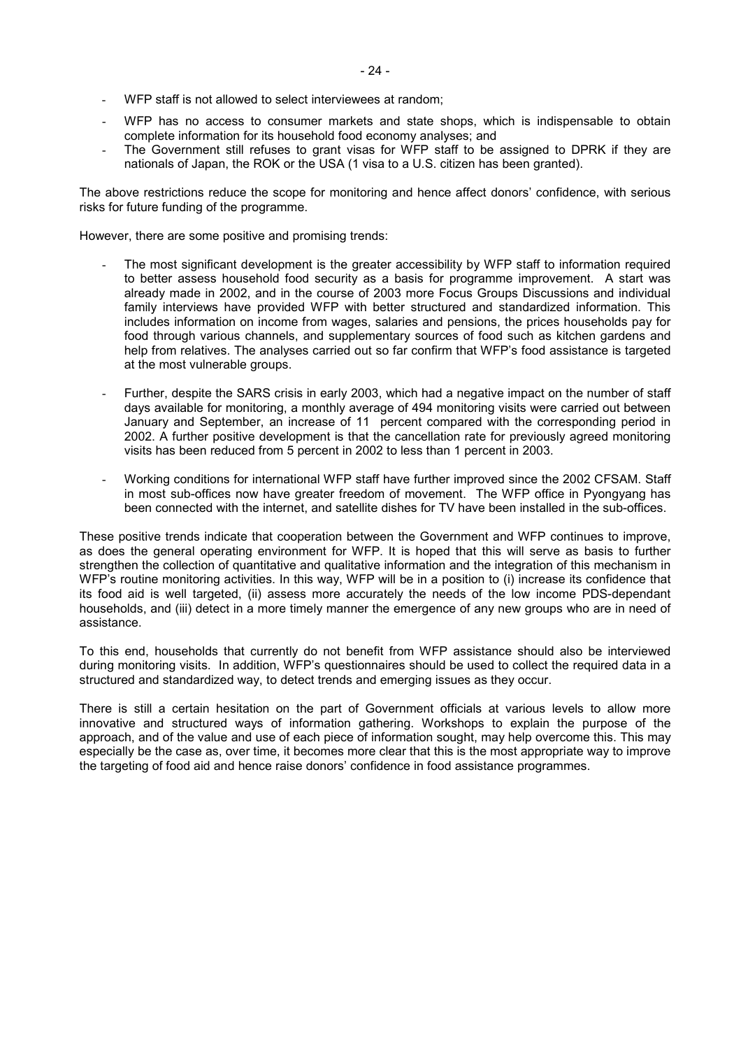- WFP staff is not allowed to select interviewees at random;
- WFP has no access to consumer markets and state shops, which is indispensable to obtain complete information for its household food economy analyses; and
- The Government still refuses to grant visas for WFP staff to be assigned to DPRK if they are nationals of Japan, the ROK or the USA (1 visa to a U.S. citizen has been granted).

The above restrictions reduce the scope for monitoring and hence affect donors' confidence, with serious risks for future funding of the programme.

However, there are some positive and promising trends:

- The most significant development is the greater accessibility by WFP staff to information required to better assess household food security as a basis for programme improvement. A start was already made in 2002, and in the course of 2003 more Focus Groups Discussions and individual family interviews have provided WFP with better structured and standardized information. This includes information on income from wages, salaries and pensions, the prices households pay for food through various channels, and supplementary sources of food such as kitchen gardens and help from relatives. The analyses carried out so far confirm that WFP's food assistance is targeted at the most vulnerable groups.
- Further, despite the SARS crisis in early 2003, which had a negative impact on the number of staff days available for monitoring, a monthly average of 494 monitoring visits were carried out between January and September, an increase of 11 percent compared with the corresponding period in 2002. A further positive development is that the cancellation rate for previously agreed monitoring visits has been reduced from 5 percent in 2002 to less than 1 percent in 2003.
- Working conditions for international WFP staff have further improved since the 2002 CFSAM. Staff in most sub-offices now have greater freedom of movement. The WFP office in Pyongyang has been connected with the internet, and satellite dishes for TV have been installed in the sub-offices.

These positive trends indicate that cooperation between the Government and WFP continues to improve, as does the general operating environment for WFP. It is hoped that this will serve as basis to further strengthen the collection of quantitative and qualitative information and the integration of this mechanism in WFP's routine monitoring activities. In this way, WFP will be in a position to (i) increase its confidence that its food aid is well targeted, (ii) assess more accurately the needs of the low income PDS-dependant households, and (iii) detect in a more timely manner the emergence of any new groups who are in need of assistance.

To this end, households that currently do not benefit from WFP assistance should also be interviewed during monitoring visits. In addition, WFP's questionnaires should be used to collect the required data in a structured and standardized way, to detect trends and emerging issues as they occur.

There is still a certain hesitation on the part of Government officials at various levels to allow more innovative and structured ways of information gathering. Workshops to explain the purpose of the approach, and of the value and use of each piece of information sought, may help overcome this. This may especially be the case as, over time, it becomes more clear that this is the most appropriate way to improve the targeting of food aid and hence raise donors' confidence in food assistance programmes.